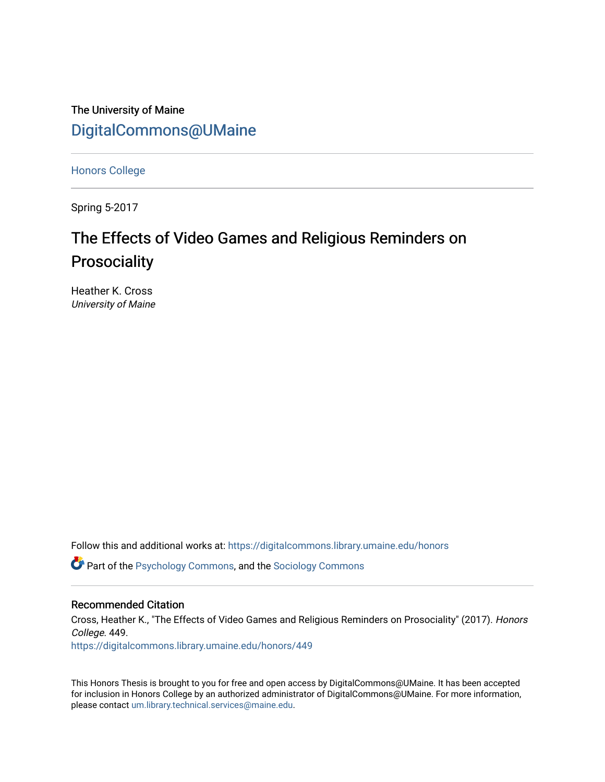The University of Maine [DigitalCommons@UMaine](https://digitalcommons.library.umaine.edu/)

[Honors College](https://digitalcommons.library.umaine.edu/honors)

Spring 5-2017

# The Effects of Video Games and Religious Reminders on **Prosociality**

Heather K. Cross University of Maine

Follow this and additional works at: [https://digitalcommons.library.umaine.edu/honors](https://digitalcommons.library.umaine.edu/honors?utm_source=digitalcommons.library.umaine.edu%2Fhonors%2F449&utm_medium=PDF&utm_campaign=PDFCoverPages) 

**C** Part of the [Psychology Commons,](http://network.bepress.com/hgg/discipline/404?utm_source=digitalcommons.library.umaine.edu%2Fhonors%2F449&utm_medium=PDF&utm_campaign=PDFCoverPages) and the Sociology Commons

### Recommended Citation

Cross, Heather K., "The Effects of Video Games and Religious Reminders on Prosociality" (2017). Honors College. 449.

[https://digitalcommons.library.umaine.edu/honors/449](https://digitalcommons.library.umaine.edu/honors/449?utm_source=digitalcommons.library.umaine.edu%2Fhonors%2F449&utm_medium=PDF&utm_campaign=PDFCoverPages) 

This Honors Thesis is brought to you for free and open access by DigitalCommons@UMaine. It has been accepted for inclusion in Honors College by an authorized administrator of DigitalCommons@UMaine. For more information, please contact [um.library.technical.services@maine.edu.](mailto:um.library.technical.services@maine.edu)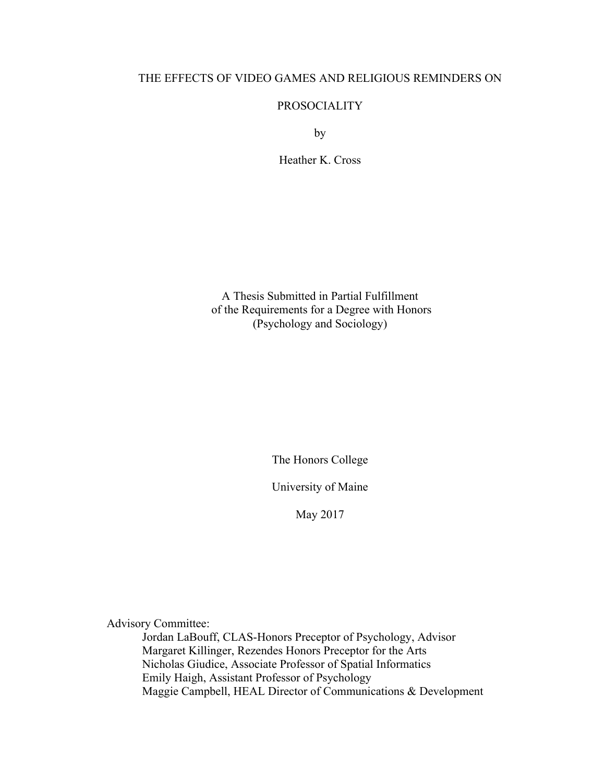# THE EFFECTS OF VIDEO GAMES AND RELIGIOUS REMINDERS ON

# PROSOCIALITY

by

Heather K. Cross

A Thesis Submitted in Partial Fulfillment of the Requirements for a Degree with Honors (Psychology and Sociology)

The Honors College

University of Maine

May 2017

Advisory Committee:

Jordan LaBouff, CLAS-Honors Preceptor of Psychology, Advisor Margaret Killinger, Rezendes Honors Preceptor for the Arts Nicholas Giudice, Associate Professor of Spatial Informatics Emily Haigh, Assistant Professor of Psychology Maggie Campbell, HEAL Director of Communications & Development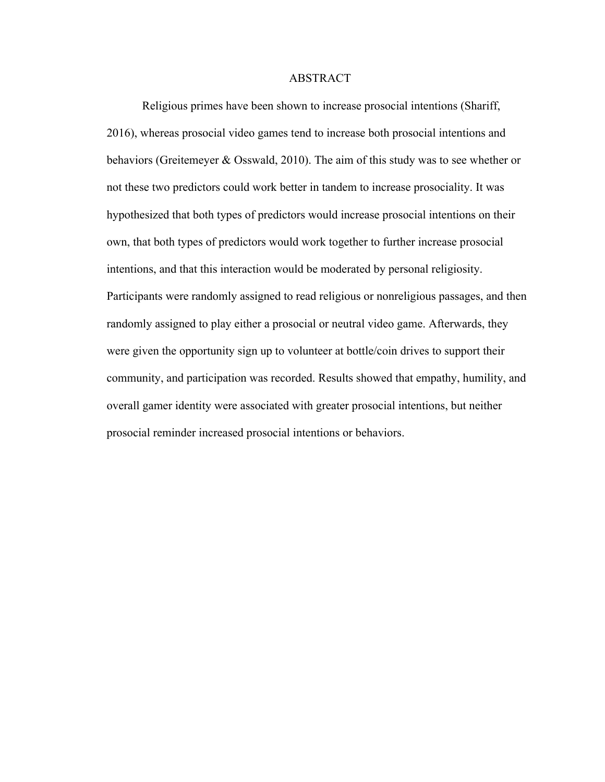#### ABSTRACT

Religious primes have been shown to increase prosocial intentions (Shariff, 2016), whereas prosocial video games tend to increase both prosocial intentions and behaviors (Greitemeyer & Osswald, 2010). The aim of this study was to see whether or not these two predictors could work better in tandem to increase prosociality. It was hypothesized that both types of predictors would increase prosocial intentions on their own, that both types of predictors would work together to further increase prosocial intentions, and that this interaction would be moderated by personal religiosity. Participants were randomly assigned to read religious or nonreligious passages, and then randomly assigned to play either a prosocial or neutral video game. Afterwards, they were given the opportunity sign up to volunteer at bottle/coin drives to support their community, and participation was recorded. Results showed that empathy, humility, and overall gamer identity were associated with greater prosocial intentions, but neither prosocial reminder increased prosocial intentions or behaviors.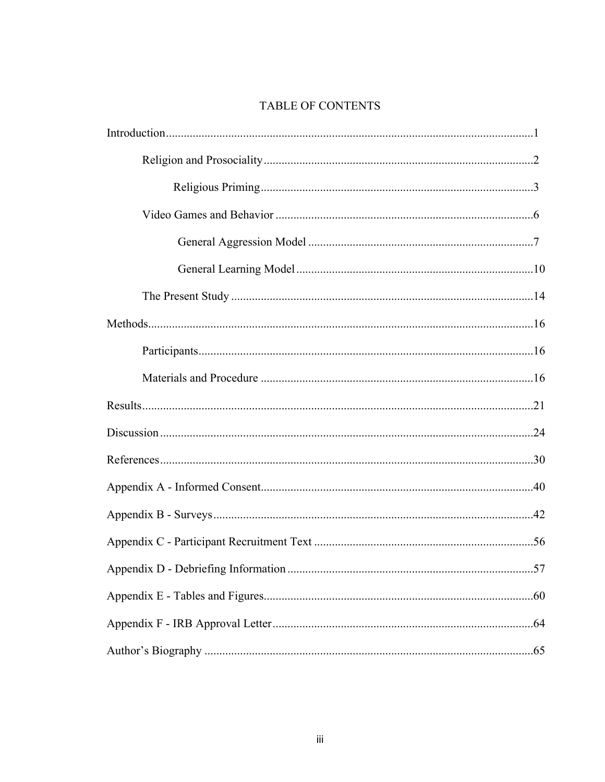# TABLE OF CONTENTS

| 57 |
|----|
|    |
|    |
|    |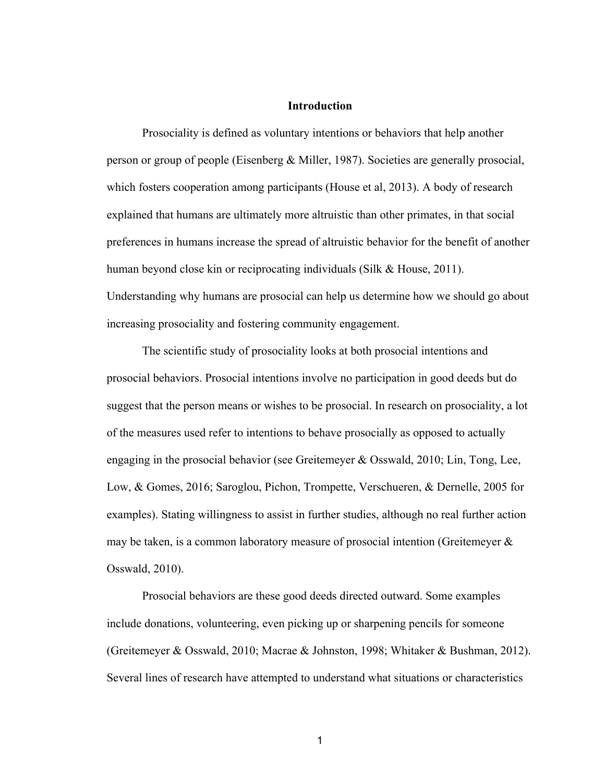### **Introduction**

Prosociality is defined as voluntary intentions or behaviors that help another person or group of people (Eisenberg & Miller, 1987). Societies are generally prosocial, which fosters cooperation among participants (House et al, 2013). A body of research explained that humans are ultimately more altruistic than other primates, in that social preferences in humans increase the spread of altruistic behavior for the benefit of another human beyond close kin or reciprocating individuals (Silk & House, 2011). Understanding why humans are prosocial can help us determine how we should go about increasing prosociality and fostering community engagement.

The scientific study of prosociality looks at both prosocial intentions and prosocial behaviors. Prosocial intentions involve no participation in good deeds but do suggest that the person means or wishes to be prosocial. In research on prosociality, a lot of the measures used refer to intentions to behave prosocially as opposed to actually engaging in the prosocial behavior (see Greitemeyer & Osswald, 2010; Lin, Tong, Lee, Low, & Gomes, 2016; Saroglou, Pichon, Trompette, Verschueren, & Dernelle, 2005 for examples). Stating willingness to assist in further studies, although no real further action may be taken, is a common laboratory measure of prosocial intention (Greitemeyer  $\&$ Osswald, 2010).

Prosocial behaviors are these good deeds directed outward. Some examples include donations, volunteering, even picking up or sharpening pencils for someone (Greitemeyer & Osswald, 2010; Macrae & Johnston, 1998; Whitaker & Bushman, 2012). Several lines of research have attempted to understand what situations or characteristics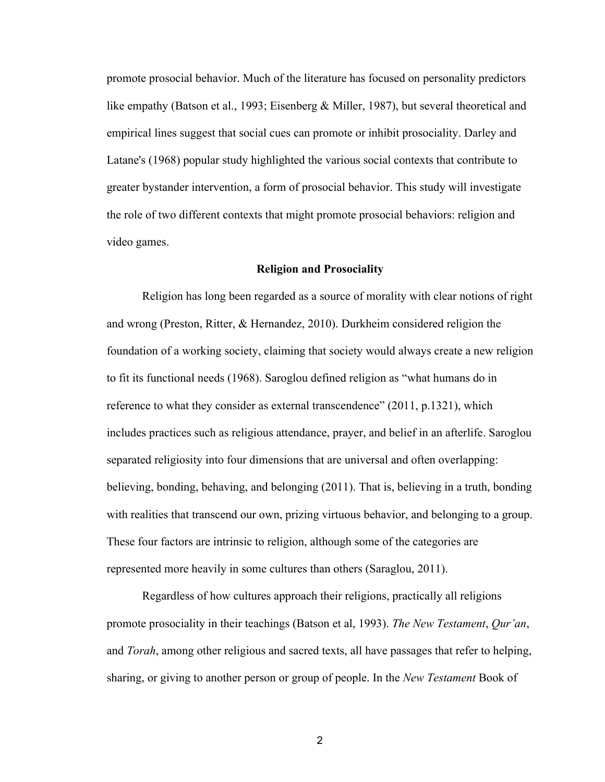promote prosocial behavior. Much of the literature has focused on personality predictors like empathy (Batson et al., 1993; Eisenberg & Miller, 1987), but several theoretical and empirical lines suggest that social cues can promote or inhibit prosociality. Darley and Latane's (1968) popular study highlighted the various social contexts that contribute to greater bystander intervention, a form of prosocial behavior. This study will investigate the role of two different contexts that might promote prosocial behaviors: religion and video games.

#### **Religion and Prosociality**

Religion has long been regarded as a source of morality with clear notions of right and wrong (Preston, Ritter, & Hernandez, 2010). Durkheim considered religion the foundation of a working society, claiming that society would always create a new religion to fit its functional needs (1968). Saroglou defined religion as "what humans do in reference to what they consider as external transcendence" (2011, p.1321), which includes practices such as religious attendance, prayer, and belief in an afterlife. Saroglou separated religiosity into four dimensions that are universal and often overlapping: believing, bonding, behaving, and belonging (2011). That is, believing in a truth, bonding with realities that transcend our own, prizing virtuous behavior, and belonging to a group. These four factors are intrinsic to religion, although some of the categories are represented more heavily in some cultures than others (Saraglou, 2011).

Regardless of how cultures approach their religions, practically all religions promote prosociality in their teachings (Batson et al, 1993). *The New Testament*, *Qur'an*, and *Torah*, among other religious and sacred texts, all have passages that refer to helping, sharing, or giving to another person or group of people. In the *New Testament* Book of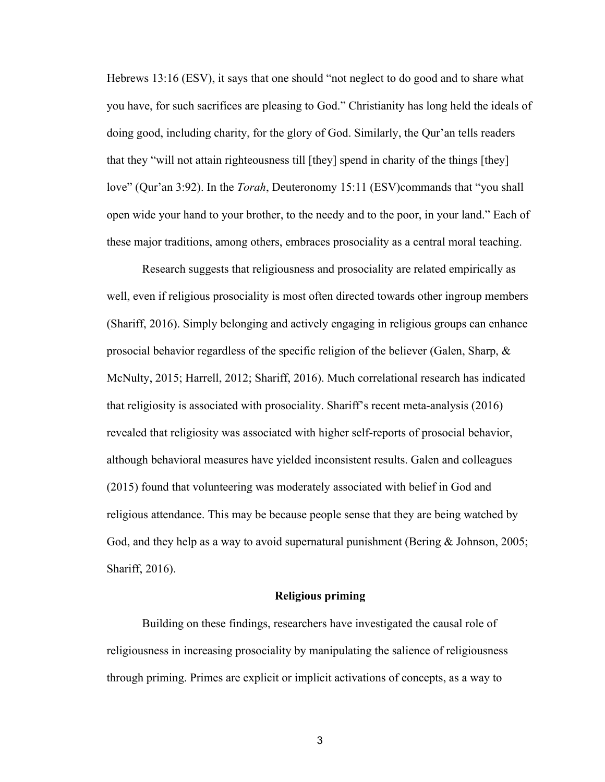Hebrews 13:16 (ESV), it says that one should "not neglect to do good and to share what you have, for such sacrifices are pleasing to God." Christianity has long held the ideals of doing good, including charity, for the glory of God. Similarly, the Qur'an tells readers that they "will not attain righteousness till [they] spend in charity of the things [they] love" (Qur'an 3:92). In the *Torah*, Deuteronomy 15:11 (ESV)commands that "you shall open wide your hand to your brother, to the needy and to the poor, in your land." Each of these major traditions, among others, embraces prosociality as a central moral teaching.

Research suggests that religiousness and prosociality are related empirically as well, even if religious prosociality is most often directed towards other ingroup members (Shariff, 2016). Simply belonging and actively engaging in religious groups can enhance prosocial behavior regardless of the specific religion of the believer (Galen, Sharp, & McNulty, 2015; Harrell, 2012; Shariff, 2016). Much correlational research has indicated that religiosity is associated with prosociality. Shariff's recent meta-analysis (2016) revealed that religiosity was associated with higher self-reports of prosocial behavior, although behavioral measures have yielded inconsistent results. Galen and colleagues (2015) found that volunteering was moderately associated with belief in God and religious attendance. This may be because people sense that they are being watched by God, and they help as a way to avoid supernatural punishment (Bering & Johnson, 2005; Shariff, 2016).

# **Religious priming**

Building on these findings, researchers have investigated the causal role of religiousness in increasing prosociality by manipulating the salience of religiousness through priming. Primes are explicit or implicit activations of concepts, as a way to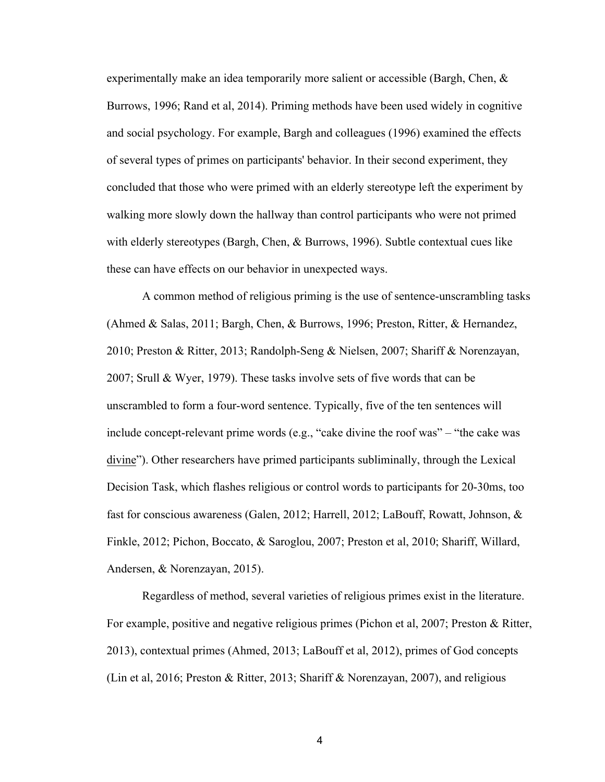experimentally make an idea temporarily more salient or accessible (Bargh, Chen, & Burrows, 1996; Rand et al, 2014). Priming methods have been used widely in cognitive and social psychology. For example, Bargh and colleagues (1996) examined the effects of several types of primes on participants' behavior. In their second experiment, they concluded that those who were primed with an elderly stereotype left the experiment by walking more slowly down the hallway than control participants who were not primed with elderly stereotypes (Bargh, Chen, & Burrows, 1996). Subtle contextual cues like these can have effects on our behavior in unexpected ways.

A common method of religious priming is the use of sentence-unscrambling tasks (Ahmed & Salas, 2011; Bargh, Chen, & Burrows, 1996; Preston, Ritter, & Hernandez, 2010; Preston & Ritter, 2013; Randolph-Seng & Nielsen, 2007; Shariff & Norenzayan, 2007; Srull & Wyer, 1979). These tasks involve sets of five words that can be unscrambled to form a four-word sentence. Typically, five of the ten sentences will include concept-relevant prime words (e.g., "cake divine the roof was" – "the cake was divine"). Other researchers have primed participants subliminally, through the Lexical Decision Task, which flashes religious or control words to participants for 20-30ms, too fast for conscious awareness (Galen, 2012; Harrell, 2012; LaBouff, Rowatt, Johnson, & Finkle, 2012; Pichon, Boccato, & Saroglou, 2007; Preston et al, 2010; Shariff, Willard, Andersen, & Norenzayan, 2015).

Regardless of method, several varieties of religious primes exist in the literature. For example, positive and negative religious primes (Pichon et al, 2007; Preston & Ritter, 2013), contextual primes (Ahmed, 2013; LaBouff et al, 2012), primes of God concepts (Lin et al, 2016; Preston & Ritter, 2013; Shariff & Norenzayan, 2007), and religious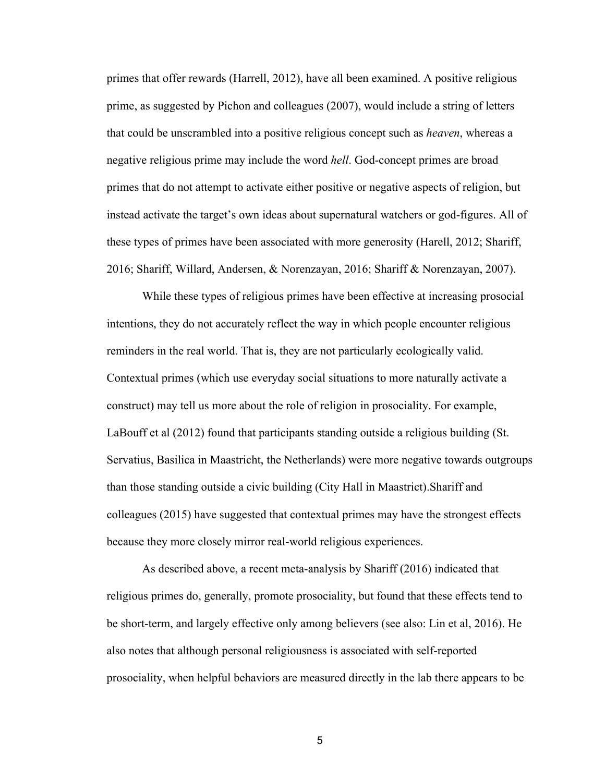primes that offer rewards (Harrell, 2012), have all been examined. A positive religious prime, as suggested by Pichon and colleagues (2007), would include a string of letters that could be unscrambled into a positive religious concept such as *heaven*, whereas a negative religious prime may include the word *hell*. God-concept primes are broad primes that do not attempt to activate either positive or negative aspects of religion, but instead activate the target's own ideas about supernatural watchers or god-figures. All of these types of primes have been associated with more generosity (Harell, 2012; Shariff, 2016; Shariff, Willard, Andersen, & Norenzayan, 2016; Shariff & Norenzayan, 2007).

While these types of religious primes have been effective at increasing prosocial intentions, they do not accurately reflect the way in which people encounter religious reminders in the real world. That is, they are not particularly ecologically valid. Contextual primes (which use everyday social situations to more naturally activate a construct) may tell us more about the role of religion in prosociality. For example, LaBouff et al (2012) found that participants standing outside a religious building (St. Servatius, Basilica in Maastricht, the Netherlands) were more negative towards outgroups than those standing outside a civic building (City Hall in Maastrict).Shariff and colleagues (2015) have suggested that contextual primes may have the strongest effects because they more closely mirror real-world religious experiences.

As described above, a recent meta-analysis by Shariff (2016) indicated that religious primes do, generally, promote prosociality, but found that these effects tend to be short-term, and largely effective only among believers (see also: Lin et al, 2016). He also notes that although personal religiousness is associated with self-reported prosociality, when helpful behaviors are measured directly in the lab there appears to be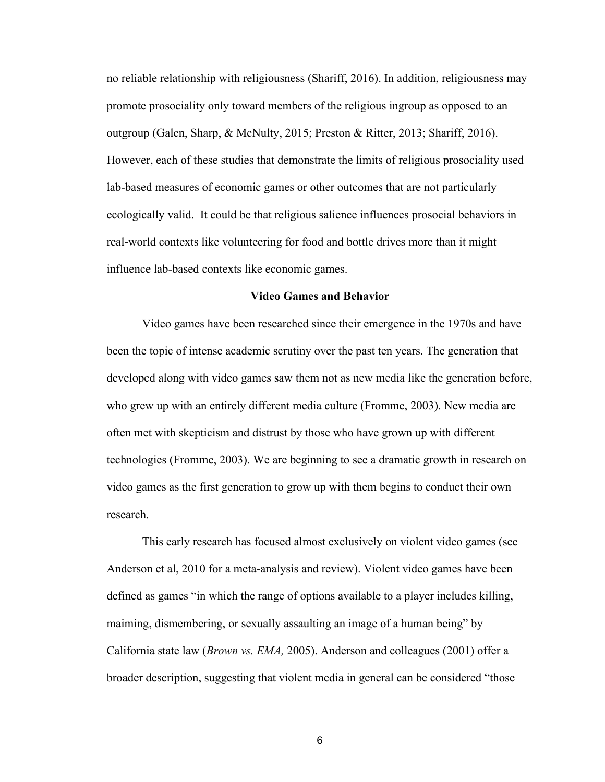no reliable relationship with religiousness (Shariff, 2016). In addition, religiousness may promote prosociality only toward members of the religious ingroup as opposed to an outgroup (Galen, Sharp, & McNulty, 2015; Preston & Ritter, 2013; Shariff, 2016). However, each of these studies that demonstrate the limits of religious prosociality used lab-based measures of economic games or other outcomes that are not particularly ecologically valid. It could be that religious salience influences prosocial behaviors in real-world contexts like volunteering for food and bottle drives more than it might influence lab-based contexts like economic games.

#### **Video Games and Behavior**

Video games have been researched since their emergence in the 1970s and have been the topic of intense academic scrutiny over the past ten years. The generation that developed along with video games saw them not as new media like the generation before, who grew up with an entirely different media culture (Fromme, 2003). New media are often met with skepticism and distrust by those who have grown up with different technologies (Fromme, 2003). We are beginning to see a dramatic growth in research on video games as the first generation to grow up with them begins to conduct their own research.

This early research has focused almost exclusively on violent video games (see Anderson et al, 2010 for a meta-analysis and review). Violent video games have been defined as games "in which the range of options available to a player includes killing, maiming, dismembering, or sexually assaulting an image of a human being" by California state law (*Brown vs. EMA,* 2005). Anderson and colleagues (2001) offer a broader description, suggesting that violent media in general can be considered "those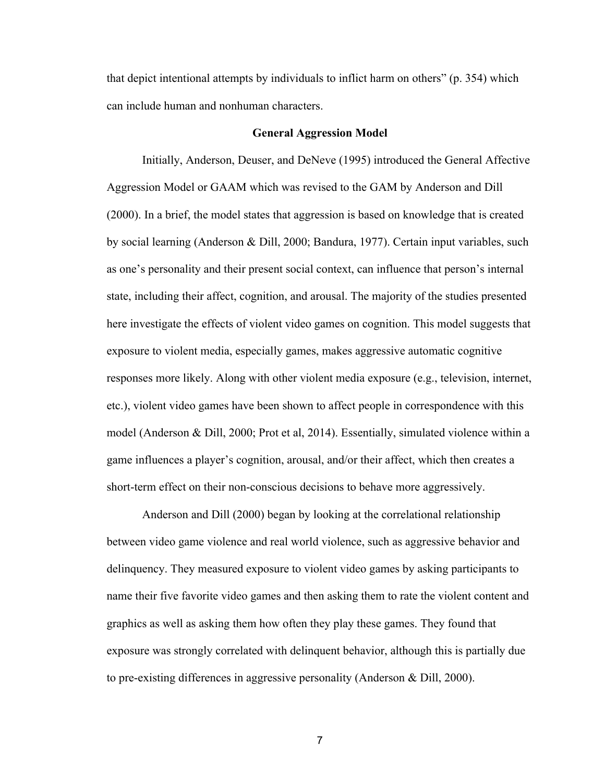that depict intentional attempts by individuals to inflict harm on others" (p. 354) which can include human and nonhuman characters.

#### **General Aggression Model**

Initially, Anderson, Deuser, and DeNeve (1995) introduced the General Affective Aggression Model or GAAM which was revised to the GAM by Anderson and Dill (2000). In a brief, the model states that aggression is based on knowledge that is created by social learning (Anderson & Dill, 2000; Bandura, 1977). Certain input variables, such as one's personality and their present social context, can influence that person's internal state, including their affect, cognition, and arousal. The majority of the studies presented here investigate the effects of violent video games on cognition. This model suggests that exposure to violent media, especially games, makes aggressive automatic cognitive responses more likely. Along with other violent media exposure (e.g., television, internet, etc.), violent video games have been shown to affect people in correspondence with this model (Anderson & Dill, 2000; Prot et al, 2014). Essentially, simulated violence within a game influences a player's cognition, arousal, and/or their affect, which then creates a short-term effect on their non-conscious decisions to behave more aggressively.

Anderson and Dill (2000) began by looking at the correlational relationship between video game violence and real world violence, such as aggressive behavior and delinquency. They measured exposure to violent video games by asking participants to name their five favorite video games and then asking them to rate the violent content and graphics as well as asking them how often they play these games. They found that exposure was strongly correlated with delinquent behavior, although this is partially due to pre-existing differences in aggressive personality (Anderson & Dill, 2000).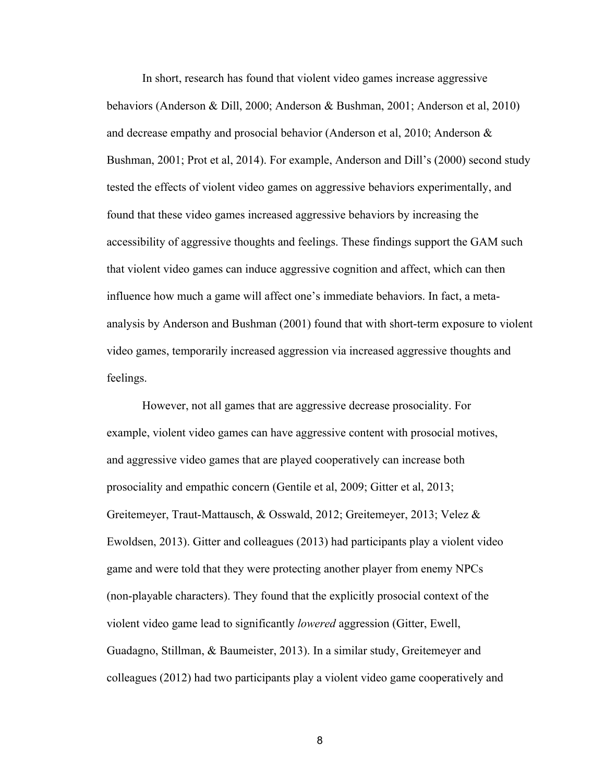In short, research has found that violent video games increase aggressive behaviors (Anderson & Dill, 2000; Anderson & Bushman, 2001; Anderson et al, 2010) and decrease empathy and prosocial behavior (Anderson et al, 2010; Anderson & Bushman, 2001; Prot et al, 2014). For example, Anderson and Dill's (2000) second study tested the effects of violent video games on aggressive behaviors experimentally, and found that these video games increased aggressive behaviors by increasing the accessibility of aggressive thoughts and feelings. These findings support the GAM such that violent video games can induce aggressive cognition and affect, which can then influence how much a game will affect one's immediate behaviors. In fact, a metaanalysis by Anderson and Bushman (2001) found that with short-term exposure to violent video games, temporarily increased aggression via increased aggressive thoughts and feelings.

However, not all games that are aggressive decrease prosociality. For example, violent video games can have aggressive content with prosocial motives, and aggressive video games that are played cooperatively can increase both prosociality and empathic concern (Gentile et al, 2009; Gitter et al, 2013; Greitemeyer, Traut-Mattausch, & Osswald, 2012; Greitemeyer, 2013; Velez & Ewoldsen, 2013). Gitter and colleagues (2013) had participants play a violent video game and were told that they were protecting another player from enemy NPCs (non-playable characters). They found that the explicitly prosocial context of the violent video game lead to significantly *lowered* aggression (Gitter, Ewell, Guadagno, Stillman, & Baumeister, 2013). In a similar study, Greitemeyer and colleagues (2012) had two participants play a violent video game cooperatively and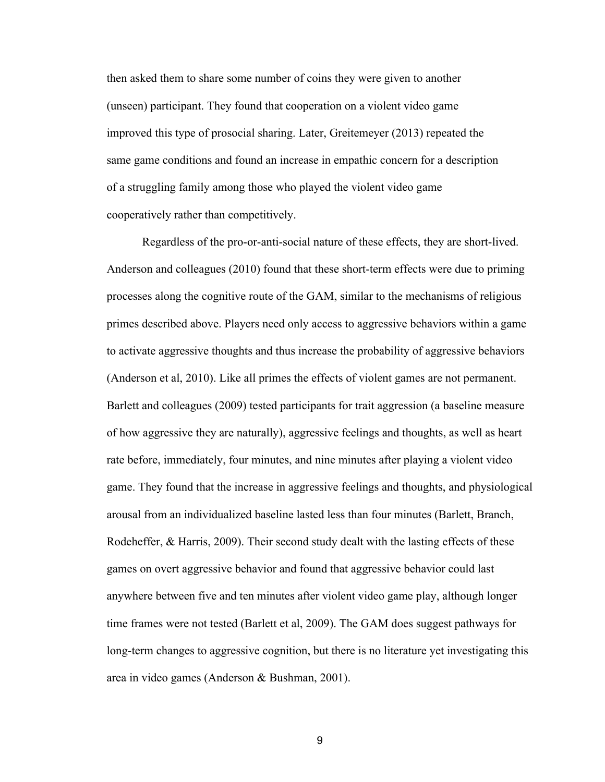then asked them to share some number of coins they were given to another (unseen) participant. They found that cooperation on a violent video game improved this type of prosocial sharing. Later, Greitemeyer (2013) repeated the same game conditions and found an increase in empathic concern for a description of a struggling family among those who played the violent video game cooperatively rather than competitively.

Regardless of the pro-or-anti-social nature of these effects, they are short-lived. Anderson and colleagues (2010) found that these short-term effects were due to priming processes along the cognitive route of the GAM, similar to the mechanisms of religious primes described above. Players need only access to aggressive behaviors within a game to activate aggressive thoughts and thus increase the probability of aggressive behaviors (Anderson et al, 2010). Like all primes the effects of violent games are not permanent. Barlett and colleagues (2009) tested participants for trait aggression (a baseline measure of how aggressive they are naturally), aggressive feelings and thoughts, as well as heart rate before, immediately, four minutes, and nine minutes after playing a violent video game. They found that the increase in aggressive feelings and thoughts, and physiological arousal from an individualized baseline lasted less than four minutes (Barlett, Branch, Rodeheffer, & Harris, 2009). Their second study dealt with the lasting effects of these games on overt aggressive behavior and found that aggressive behavior could last anywhere between five and ten minutes after violent video game play, although longer time frames were not tested (Barlett et al, 2009). The GAM does suggest pathways for long-term changes to aggressive cognition, but there is no literature yet investigating this area in video games (Anderson & Bushman, 2001).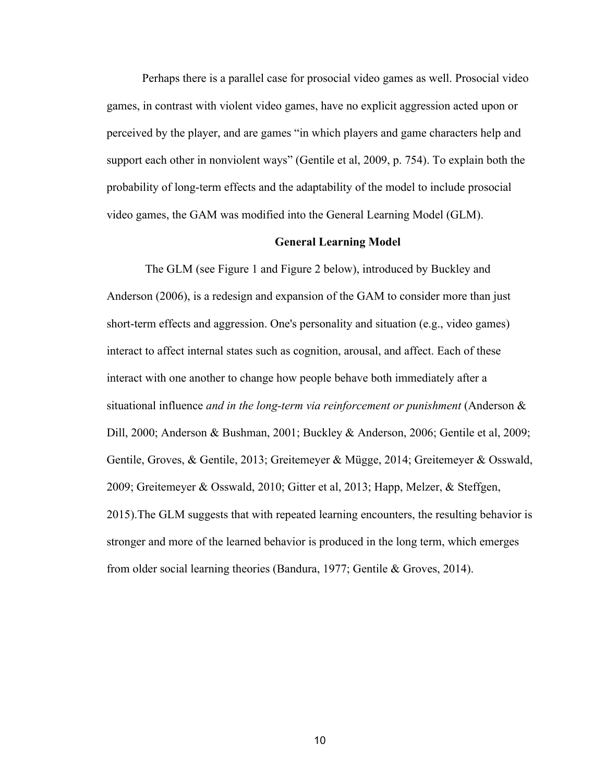Perhaps there is a parallel case for prosocial video games as well. Prosocial video games, in contrast with violent video games, have no explicit aggression acted upon or perceived by the player, and are games "in which players and game characters help and support each other in nonviolent ways" (Gentile et al, 2009, p. 754). To explain both the probability of long-term effects and the adaptability of the model to include prosocial video games, the GAM was modified into the General Learning Model (GLM).

### **General Learning Model**

The GLM (see Figure 1 and Figure 2 below), introduced by Buckley and Anderson (2006), is a redesign and expansion of the GAM to consider more than just short-term effects and aggression. One's personality and situation (e.g., video games) interact to affect internal states such as cognition, arousal, and affect. Each of these interact with one another to change how people behave both immediately after a situational influence *and in the long-term via reinforcement or punishment* (Anderson & Dill, 2000; Anderson & Bushman, 2001; Buckley & Anderson, 2006; Gentile et al, 2009; Gentile, Groves, & Gentile, 2013; Greitemeyer & Mügge, 2014; Greitemeyer & Osswald, 2009; Greitemeyer & Osswald, 2010; Gitter et al, 2013; Happ, Melzer, & Steffgen, 2015).The GLM suggests that with repeated learning encounters, the resulting behavior is stronger and more of the learned behavior is produced in the long term, which emerges from older social learning theories (Bandura, 1977; Gentile & Groves, 2014).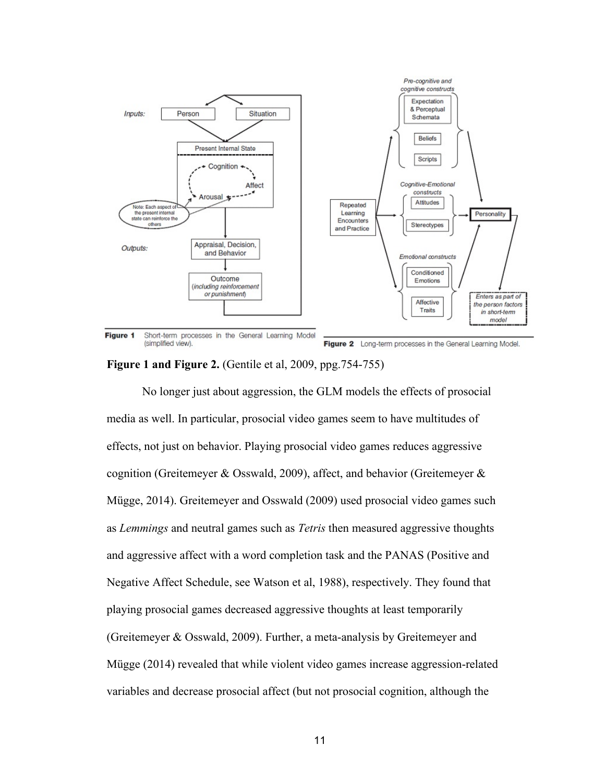

**Figure 1 and Figure 2.** (Gentile et al, 2009, ppg.754-755)

No longer just about aggression, the GLM models the effects of prosocial media as well. In particular, prosocial video games seem to have multitudes of effects, not just on behavior. Playing prosocial video games reduces aggressive cognition (Greitemeyer & Osswald, 2009), affect, and behavior (Greitemeyer & Mügge, 2014). Greitemeyer and Osswald (2009) used prosocial video games such as *Lemmings* and neutral games such as *Tetris* then measured aggressive thoughts and aggressive affect with a word completion task and the PANAS (Positive and Negative Affect Schedule, see Watson et al, 1988), respectively. They found that playing prosocial games decreased aggressive thoughts at least temporarily (Greitemeyer & Osswald, 2009). Further, a meta-analysis by Greitemeyer and Mügge (2014) revealed that while violent video games increase aggression-related variables and decrease prosocial affect (but not prosocial cognition, although the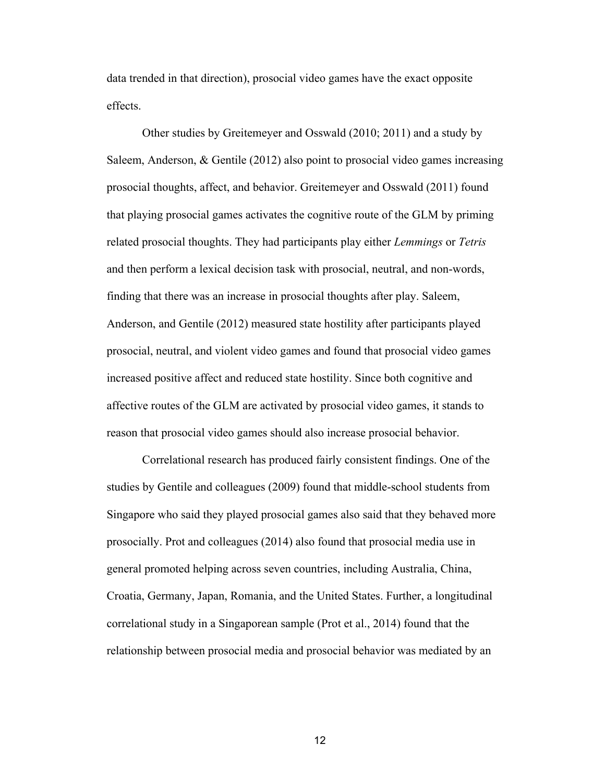data trended in that direction), prosocial video games have the exact opposite effects.

Other studies by Greitemeyer and Osswald (2010; 2011) and a study by Saleem, Anderson, & Gentile (2012) also point to prosocial video games increasing prosocial thoughts, affect, and behavior. Greitemeyer and Osswald (2011) found that playing prosocial games activates the cognitive route of the GLM by priming related prosocial thoughts. They had participants play either *Lemmings* or *Tetris* and then perform a lexical decision task with prosocial, neutral, and non-words, finding that there was an increase in prosocial thoughts after play. Saleem, Anderson, and Gentile (2012) measured state hostility after participants played prosocial, neutral, and violent video games and found that prosocial video games increased positive affect and reduced state hostility. Since both cognitive and affective routes of the GLM are activated by prosocial video games, it stands to reason that prosocial video games should also increase prosocial behavior.

Correlational research has produced fairly consistent findings. One of the studies by Gentile and colleagues (2009) found that middle-school students from Singapore who said they played prosocial games also said that they behaved more prosocially. Prot and colleagues (2014) also found that prosocial media use in general promoted helping across seven countries, including Australia, China, Croatia, Germany, Japan, Romania, and the United States. Further, a longitudinal correlational study in a Singaporean sample (Prot et al., 2014) found that the relationship between prosocial media and prosocial behavior was mediated by an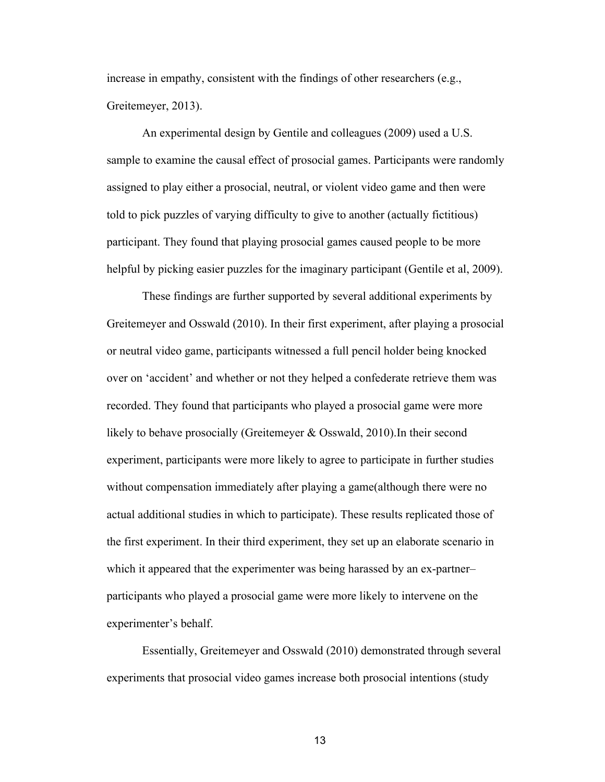increase in empathy, consistent with the findings of other researchers (e.g., Greitemeyer, 2013).

An experimental design by Gentile and colleagues (2009) used a U.S. sample to examine the causal effect of prosocial games. Participants were randomly assigned to play either a prosocial, neutral, or violent video game and then were told to pick puzzles of varying difficulty to give to another (actually fictitious) participant. They found that playing prosocial games caused people to be more helpful by picking easier puzzles for the imaginary participant (Gentile et al, 2009).

These findings are further supported by several additional experiments by Greitemeyer and Osswald (2010). In their first experiment, after playing a prosocial or neutral video game, participants witnessed a full pencil holder being knocked over on 'accident' and whether or not they helped a confederate retrieve them was recorded. They found that participants who played a prosocial game were more likely to behave prosocially (Greitemeyer & Osswald, 2010).In their second experiment, participants were more likely to agree to participate in further studies without compensation immediately after playing a game(although there were no actual additional studies in which to participate). These results replicated those of the first experiment. In their third experiment, they set up an elaborate scenario in which it appeared that the experimenter was being harassed by an ex-partner– participants who played a prosocial game were more likely to intervene on the experimenter's behalf.

Essentially, Greitemeyer and Osswald (2010) demonstrated through several experiments that prosocial video games increase both prosocial intentions (study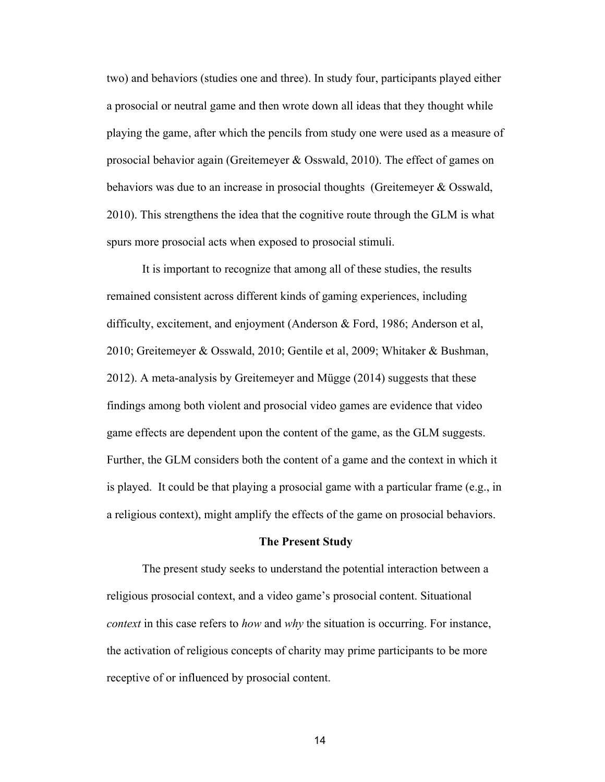two) and behaviors (studies one and three). In study four, participants played either a prosocial or neutral game and then wrote down all ideas that they thought while playing the game, after which the pencils from study one were used as a measure of prosocial behavior again (Greitemeyer & Osswald, 2010). The effect of games on behaviors was due to an increase in prosocial thoughts (Greitemeyer & Osswald, 2010). This strengthens the idea that the cognitive route through the GLM is what spurs more prosocial acts when exposed to prosocial stimuli.

It is important to recognize that among all of these studies, the results remained consistent across different kinds of gaming experiences, including difficulty, excitement, and enjoyment (Anderson & Ford, 1986; Anderson et al, 2010; Greitemeyer & Osswald, 2010; Gentile et al, 2009; Whitaker & Bushman, 2012). A meta-analysis by Greitemeyer and Mügge (2014) suggests that these findings among both violent and prosocial video games are evidence that video game effects are dependent upon the content of the game, as the GLM suggests. Further, the GLM considers both the content of a game and the context in which it is played. It could be that playing a prosocial game with a particular frame (e.g., in a religious context), might amplify the effects of the game on prosocial behaviors.

#### **The Present Study**

The present study seeks to understand the potential interaction between a religious prosocial context, and a video game's prosocial content. Situational *context* in this case refers to *how* and *why* the situation is occurring. For instance, the activation of religious concepts of charity may prime participants to be more receptive of or influenced by prosocial content.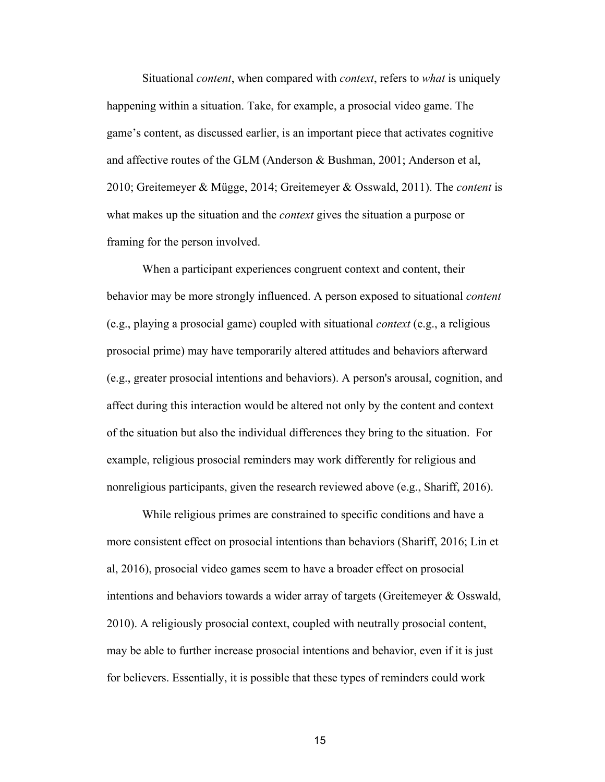Situational *content*, when compared with *context*, refers to *what* is uniquely happening within a situation. Take, for example, a prosocial video game. The game's content, as discussed earlier, is an important piece that activates cognitive and affective routes of the GLM (Anderson & Bushman, 2001; Anderson et al, 2010; Greitemeyer & Mügge, 2014; Greitemeyer & Osswald, 2011). The *content* is what makes up the situation and the *context* gives the situation a purpose or framing for the person involved.

When a participant experiences congruent context and content, their behavior may be more strongly influenced. A person exposed to situational *content* (e.g., playing a prosocial game) coupled with situational *context* (e.g., a religious prosocial prime) may have temporarily altered attitudes and behaviors afterward (e.g., greater prosocial intentions and behaviors). A person's arousal, cognition, and affect during this interaction would be altered not only by the content and context of the situation but also the individual differences they bring to the situation. For example, religious prosocial reminders may work differently for religious and nonreligious participants, given the research reviewed above (e.g., Shariff, 2016).

While religious primes are constrained to specific conditions and have a more consistent effect on prosocial intentions than behaviors (Shariff, 2016; Lin et al, 2016), prosocial video games seem to have a broader effect on prosocial intentions and behaviors towards a wider array of targets (Greitemeyer & Osswald, 2010). A religiously prosocial context, coupled with neutrally prosocial content, may be able to further increase prosocial intentions and behavior, even if it is just for believers. Essentially, it is possible that these types of reminders could work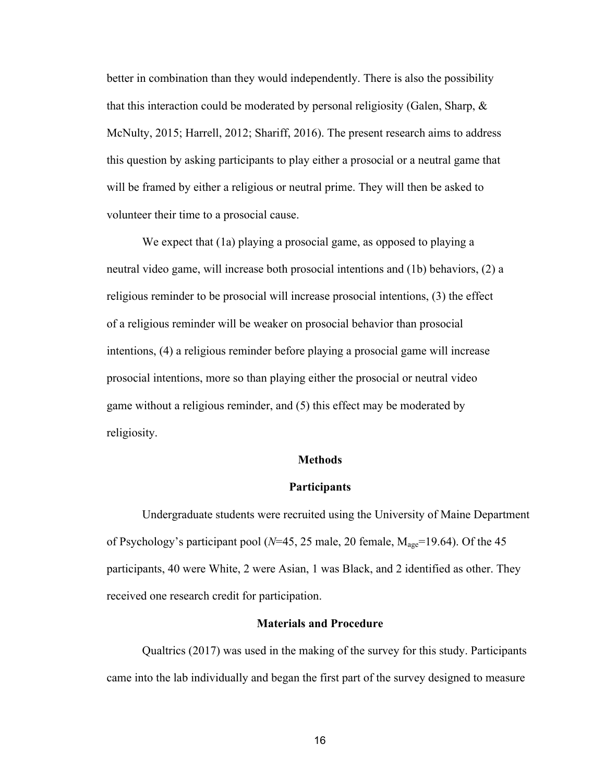better in combination than they would independently. There is also the possibility that this interaction could be moderated by personal religiosity (Galen, Sharp,  $\&$ McNulty, 2015; Harrell, 2012; Shariff, 2016). The present research aims to address this question by asking participants to play either a prosocial or a neutral game that will be framed by either a religious or neutral prime. They will then be asked to volunteer their time to a prosocial cause.

We expect that (1a) playing a prosocial game, as opposed to playing a neutral video game, will increase both prosocial intentions and (1b) behaviors, (2) a religious reminder to be prosocial will increase prosocial intentions, (3) the effect of a religious reminder will be weaker on prosocial behavior than prosocial intentions, (4) a religious reminder before playing a prosocial game will increase prosocial intentions, more so than playing either the prosocial or neutral video game without a religious reminder, and (5) this effect may be moderated by religiosity.

### **Methods**

#### **Participants**

Undergraduate students were recruited using the University of Maine Department of Psychology's participant pool ( $N=45$ , 25 male, 20 female,  $M_{\text{age}}=19.64$ ). Of the 45 participants, 40 were White, 2 were Asian, 1 was Black, and 2 identified as other. They received one research credit for participation.

#### **Materials and Procedure**

Qualtrics (2017) was used in the making of the survey for this study. Participants came into the lab individually and began the first part of the survey designed to measure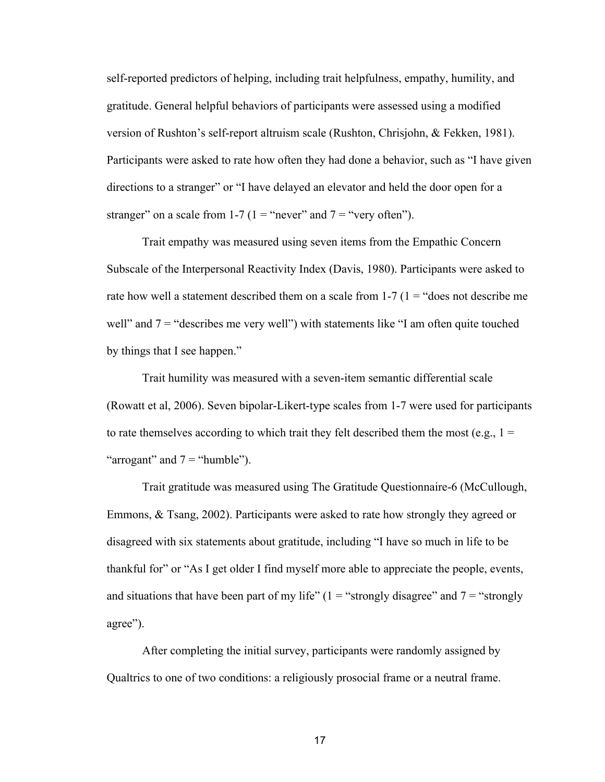self-reported predictors of helping, including trait helpfulness, empathy, humility, and gratitude. General helpful behaviors of participants were assessed using a modified version of Rushton's self-report altruism scale (Rushton, Chrisjohn, & Fekken, 1981). Participants were asked to rate how often they had done a behavior, such as "I have given directions to a stranger" or "I have delayed an elevator and held the door open for a stranger" on a scale from 1-7 (1 = "never" and  $7 =$  "very often").

Trait empathy was measured using seven items from the Empathic Concern Subscale of the Interpersonal Reactivity Index (Davis, 1980). Participants were asked to rate how well a statement described them on a scale from  $1-7$  ( $1 =$  "does not describe me well" and  $7 =$  "describes me very well") with statements like "I am often quite touched by things that I see happen."

Trait humility was measured with a seven-item semantic differential scale (Rowatt et al, 2006). Seven bipolar-Likert-type scales from 1-7 were used for participants to rate themselves according to which trait they felt described them the most (e.g.,  $1 =$ "arrogant" and  $7 =$  "humble").

Trait gratitude was measured using The Gratitude Questionnaire-6 (McCullough, Emmons, & Tsang, 2002). Participants were asked to rate how strongly they agreed or disagreed with six statements about gratitude, including "I have so much in life to be thankful for" or "As I get older I find myself more able to appreciate the people, events, and situations that have been part of my life"  $(1 = "strongly disagree"$  and  $7 = "strongly$ agree").

After completing the initial survey, participants were randomly assigned by Qualtrics to one of two conditions: a religiously prosocial frame or a neutral frame.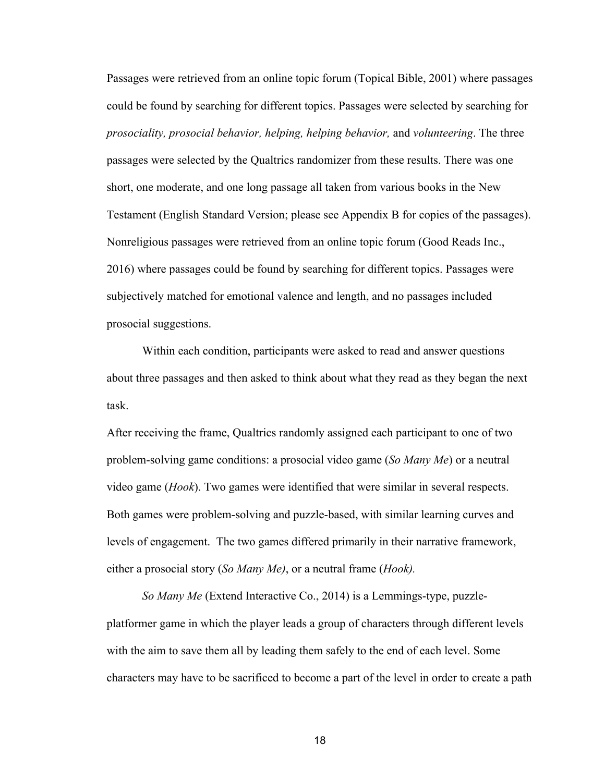Passages were retrieved from an online topic forum (Topical Bible, 2001) where passages could be found by searching for different topics. Passages were selected by searching for *prosociality, prosocial behavior, helping, helping behavior,* and *volunteering*. The three passages were selected by the Qualtrics randomizer from these results. There was one short, one moderate, and one long passage all taken from various books in the New Testament (English Standard Version; please see Appendix B for copies of the passages). Nonreligious passages were retrieved from an online topic forum (Good Reads Inc., 2016) where passages could be found by searching for different topics. Passages were subjectively matched for emotional valence and length, and no passages included prosocial suggestions.

Within each condition, participants were asked to read and answer questions about three passages and then asked to think about what they read as they began the next task.

After receiving the frame, Qualtrics randomly assigned each participant to one of two problem-solving game conditions: a prosocial video game (*So Many Me*) or a neutral video game (*Hook*). Two games were identified that were similar in several respects. Both games were problem-solving and puzzle-based, with similar learning curves and levels of engagement. The two games differed primarily in their narrative framework, either a prosocial story (*So Many Me)*, or a neutral frame (*Hook).*

*So Many Me* (Extend Interactive Co., 2014) is a Lemmings-type, puzzleplatformer game in which the player leads a group of characters through different levels with the aim to save them all by leading them safely to the end of each level. Some characters may have to be sacrificed to become a part of the level in order to create a path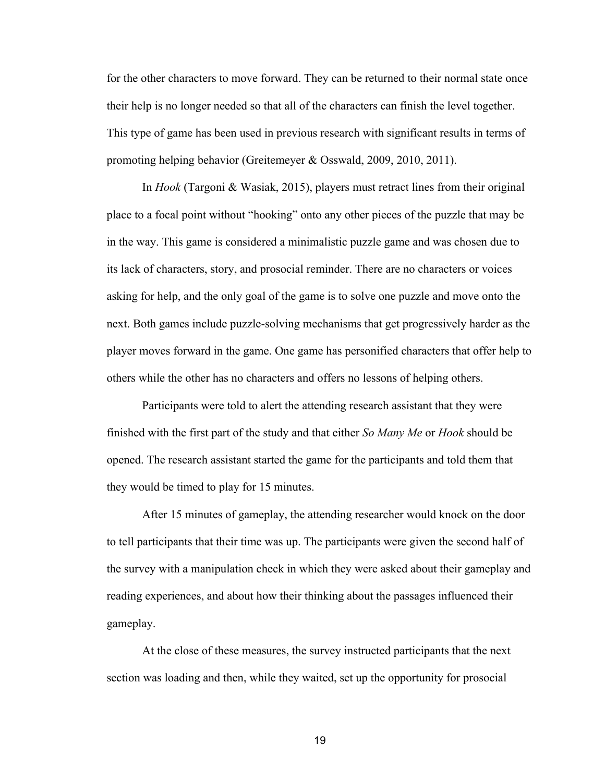for the other characters to move forward. They can be returned to their normal state once their help is no longer needed so that all of the characters can finish the level together. This type of game has been used in previous research with significant results in terms of promoting helping behavior (Greitemeyer & Osswald, 2009, 2010, 2011).

In *Hook* (Targoni & Wasiak, 2015), players must retract lines from their original place to a focal point without "hooking" onto any other pieces of the puzzle that may be in the way. This game is considered a minimalistic puzzle game and was chosen due to its lack of characters, story, and prosocial reminder. There are no characters or voices asking for help, and the only goal of the game is to solve one puzzle and move onto the next. Both games include puzzle-solving mechanisms that get progressively harder as the player moves forward in the game. One game has personified characters that offer help to others while the other has no characters and offers no lessons of helping others.

Participants were told to alert the attending research assistant that they were finished with the first part of the study and that either *So Many Me* or *Hook* should be opened. The research assistant started the game for the participants and told them that they would be timed to play for 15 minutes.

After 15 minutes of gameplay, the attending researcher would knock on the door to tell participants that their time was up. The participants were given the second half of the survey with a manipulation check in which they were asked about their gameplay and reading experiences, and about how their thinking about the passages influenced their gameplay.

At the close of these measures, the survey instructed participants that the next section was loading and then, while they waited, set up the opportunity for prosocial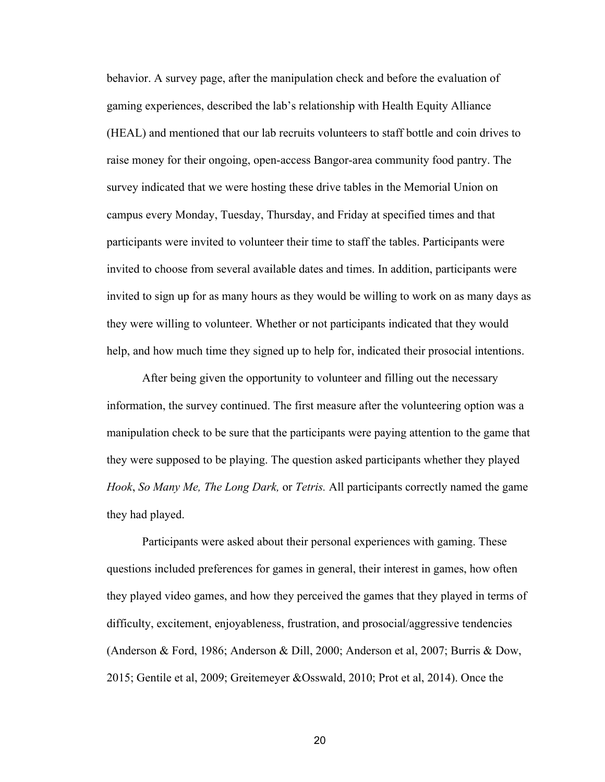behavior. A survey page, after the manipulation check and before the evaluation of gaming experiences, described the lab's relationship with Health Equity Alliance (HEAL) and mentioned that our lab recruits volunteers to staff bottle and coin drives to raise money for their ongoing, open-access Bangor-area community food pantry. The survey indicated that we were hosting these drive tables in the Memorial Union on campus every Monday, Tuesday, Thursday, and Friday at specified times and that participants were invited to volunteer their time to staff the tables. Participants were invited to choose from several available dates and times. In addition, participants were invited to sign up for as many hours as they would be willing to work on as many days as they were willing to volunteer. Whether or not participants indicated that they would help, and how much time they signed up to help for, indicated their prosocial intentions.

After being given the opportunity to volunteer and filling out the necessary information, the survey continued. The first measure after the volunteering option was a manipulation check to be sure that the participants were paying attention to the game that they were supposed to be playing. The question asked participants whether they played *Hook*, *So Many Me, The Long Dark,* or *Tetris.* All participants correctly named the game they had played.

Participants were asked about their personal experiences with gaming. These questions included preferences for games in general, their interest in games, how often they played video games, and how they perceived the games that they played in terms of difficulty, excitement, enjoyableness, frustration, and prosocial/aggressive tendencies (Anderson & Ford, 1986; Anderson & Dill, 2000; Anderson et al, 2007; Burris & Dow, 2015; Gentile et al, 2009; Greitemeyer &Osswald, 2010; Prot et al, 2014). Once the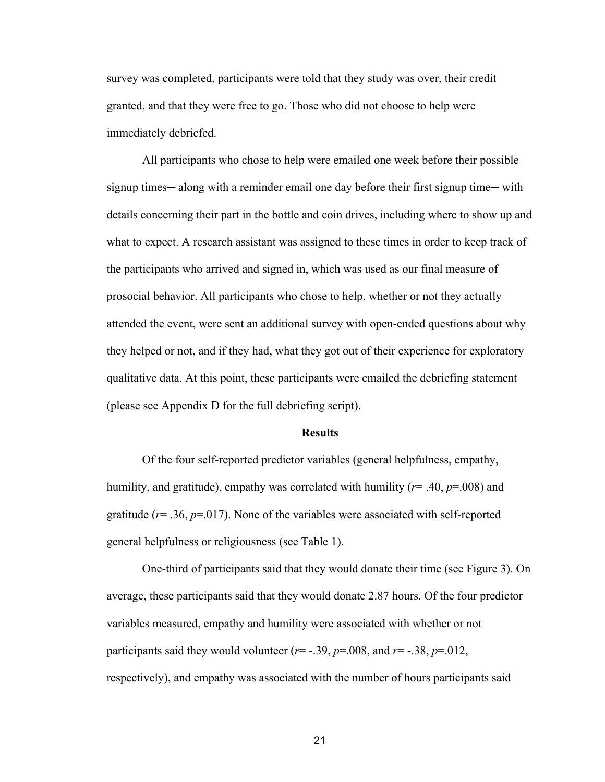survey was completed, participants were told that they study was over, their credit granted, and that they were free to go. Those who did not choose to help were immediately debriefed.

All participants who chose to help were emailed one week before their possible signup times—along with a reminder email one day before their first signup time—with details concerning their part in the bottle and coin drives, including where to show up and what to expect. A research assistant was assigned to these times in order to keep track of the participants who arrived and signed in, which was used as our final measure of prosocial behavior. All participants who chose to help, whether or not they actually attended the event, were sent an additional survey with open-ended questions about why they helped or not, and if they had, what they got out of their experience for exploratory qualitative data. At this point, these participants were emailed the debriefing statement (please see Appendix D for the full debriefing script).

#### **Results**

Of the four self-reported predictor variables (general helpfulness, empathy, humility, and gratitude), empathy was correlated with humility (*r*= .40, *p*=.008) and gratitude ( $r = .36$ ,  $p = .017$ ). None of the variables were associated with self-reported general helpfulness or religiousness (see Table 1).

One-third of participants said that they would donate their time (see Figure 3). On average, these participants said that they would donate 2.87 hours. Of the four predictor variables measured, empathy and humility were associated with whether or not participants said they would volunteer  $(r=-.39, p=.008,$  and  $r=-.38, p=.012,$ respectively), and empathy was associated with the number of hours participants said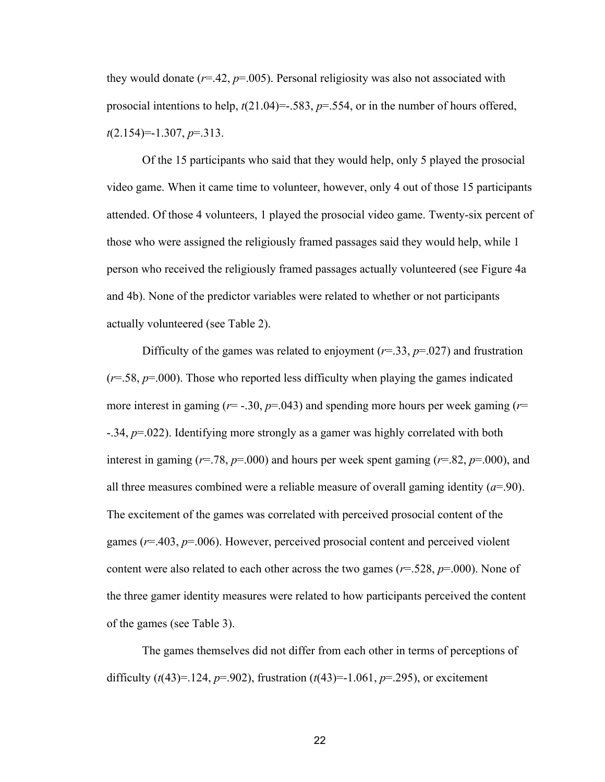they would donate  $(r=.42, p=.005)$ . Personal religiosity was also not associated with prosocial intentions to help,  $t(21.04) = -0.583$ ,  $p = 0.554$ , or in the number of hours offered, *t*(2.154)=-1.307, *p*=.313.

Of the 15 participants who said that they would help, only 5 played the prosocial video game. When it came time to volunteer, however, only 4 out of those 15 participants attended. Of those 4 volunteers, 1 played the prosocial video game. Twenty-six percent of those who were assigned the religiously framed passages said they would help, while 1 person who received the religiously framed passages actually volunteered (see Figure 4a and 4b). None of the predictor variables were related to whether or not participants actually volunteered (see Table 2).

Difficulty of the games was related to enjoyment ( $r=0.33$ ,  $p=.027$ ) and frustration  $(r=0.58, p=0.00)$ . Those who reported less difficulty when playing the games indicated more interest in gaming ( $r = -30$ ,  $p = 0.043$ ) and spending more hours per week gaming ( $r =$ -.34, *p*=.022). Identifying more strongly as a gamer was highly correlated with both interest in gaming ( $r=78$ ,  $p=000$ ) and hours per week spent gaming ( $r=82$ ,  $p=000$ ), and all three measures combined were a reliable measure of overall gaming identity  $(a=90)$ . The excitement of the games was correlated with perceived prosocial content of the games (*r*=.403, *p*=.006). However, perceived prosocial content and perceived violent content were also related to each other across the two games ( $r = .528$ ,  $p = .000$ ). None of the three gamer identity measures were related to how participants perceived the content of the games (see Table 3).

The games themselves did not differ from each other in terms of perceptions of difficulty  $(t(43)=124, p=.902)$ , frustration  $(t(43)=1.061, p=.295)$ , or excitement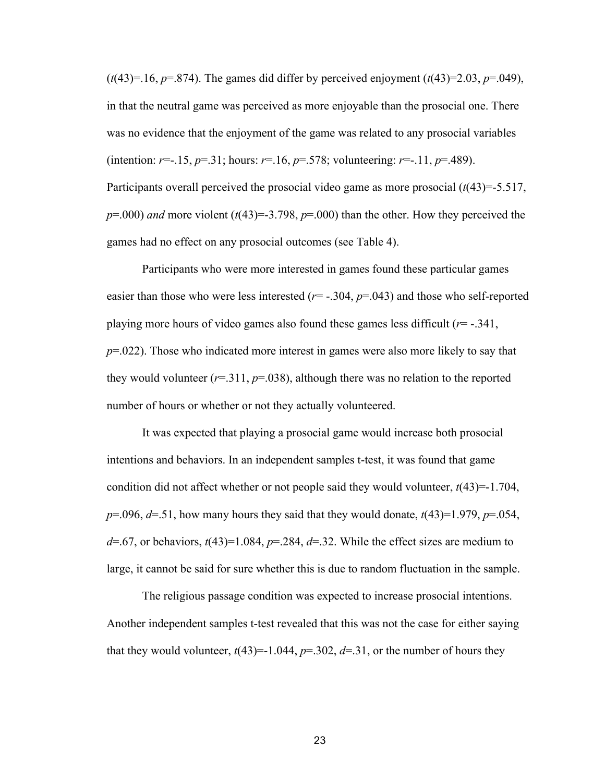$(t(43)=16, p=.874)$ . The games did differ by perceived enjoyment  $(t(43)=2.03, p=.049)$ , in that the neutral game was perceived as more enjoyable than the prosocial one. There was no evidence that the enjoyment of the game was related to any prosocial variables (intention:  $r = -15$ ,  $p = 0.31$ ; hours:  $r = 0.16$ ,  $p = 0.578$ ; volunteering:  $r = -11$ ,  $p = 0.489$ ). Participants overall perceived the prosocial video game as more prosocial (*t*(43)=-5.517,  $p=0.000$ ) *and* more violent ( $t(43)=3.798$ ,  $p=0.000$ ) than the other. How they perceived the games had no effect on any prosocial outcomes (see Table 4).

Participants who were more interested in games found these particular games easier than those who were less interested  $(r = -.304, p = .043)$  and those who self-reported playing more hours of video games also found these games less difficult (*r*= -.341, *p*=.022). Those who indicated more interest in games were also more likely to say that they would volunteer  $(r=311, p=038)$ , although there was no relation to the reported number of hours or whether or not they actually volunteered.

It was expected that playing a prosocial game would increase both prosocial intentions and behaviors. In an independent samples t-test, it was found that game condition did not affect whether or not people said they would volunteer, *t*(43)=-1.704, *p*=.096, *d*=.51, how many hours they said that they would donate, *t*(43)=1.979, *p*=.054,  $d=$ .67, or behaviors,  $t(43)=1.084$ ,  $p=$ .284,  $d=$ .32. While the effect sizes are medium to large, it cannot be said for sure whether this is due to random fluctuation in the sample.

The religious passage condition was expected to increase prosocial intentions. Another independent samples t-test revealed that this was not the case for either saying that they would volunteer,  $t(43)=1.044$ ,  $p=.302$ ,  $d=.31$ , or the number of hours they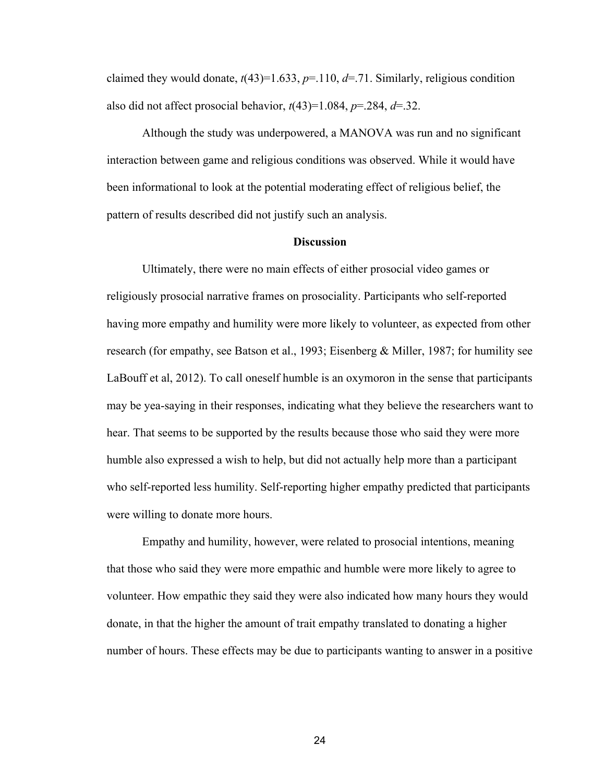claimed they would donate,  $t(43)=1.633$ ,  $p=.110$ ,  $d=.71$ . Similarly, religious condition also did not affect prosocial behavior,  $t(43)=1.084$ ,  $p=.284$ ,  $d=.32$ .

Although the study was underpowered, a MANOVA was run and no significant interaction between game and religious conditions was observed. While it would have been informational to look at the potential moderating effect of religious belief, the pattern of results described did not justify such an analysis.

# **Discussion**

Ultimately, there were no main effects of either prosocial video games or religiously prosocial narrative frames on prosociality. Participants who self-reported having more empathy and humility were more likely to volunteer, as expected from other research (for empathy, see Batson et al., 1993; Eisenberg & Miller, 1987; for humility see LaBouff et al, 2012). To call oneself humble is an oxymoron in the sense that participants may be yea-saying in their responses, indicating what they believe the researchers want to hear. That seems to be supported by the results because those who said they were more humble also expressed a wish to help, but did not actually help more than a participant who self-reported less humility. Self-reporting higher empathy predicted that participants were willing to donate more hours.

Empathy and humility, however, were related to prosocial intentions, meaning that those who said they were more empathic and humble were more likely to agree to volunteer. How empathic they said they were also indicated how many hours they would donate, in that the higher the amount of trait empathy translated to donating a higher number of hours. These effects may be due to participants wanting to answer in a positive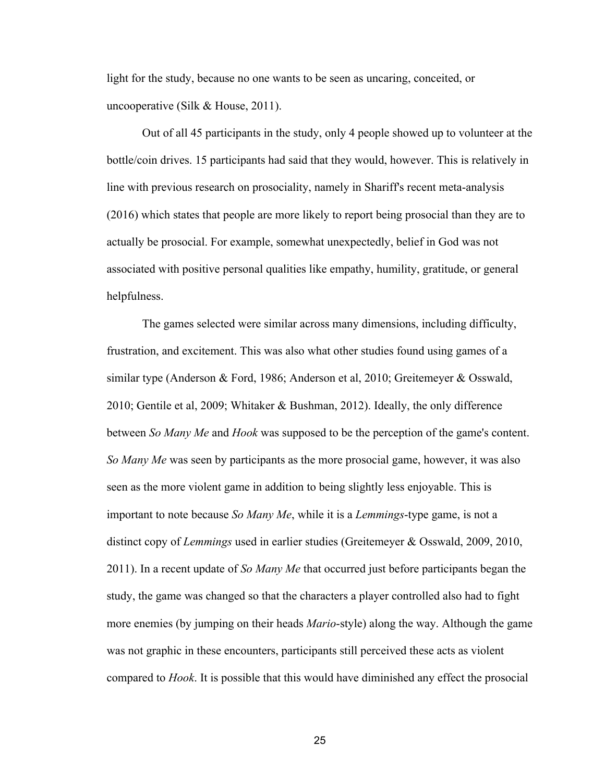light for the study, because no one wants to be seen as uncaring, conceited, or uncooperative (Silk & House, 2011).

Out of all 45 participants in the study, only 4 people showed up to volunteer at the bottle/coin drives. 15 participants had said that they would, however. This is relatively in line with previous research on prosociality, namely in Shariff's recent meta-analysis (2016) which states that people are more likely to report being prosocial than they are to actually be prosocial. For example, somewhat unexpectedly, belief in God was not associated with positive personal qualities like empathy, humility, gratitude, or general helpfulness.

The games selected were similar across many dimensions, including difficulty, frustration, and excitement. This was also what other studies found using games of a similar type (Anderson & Ford, 1986; Anderson et al, 2010; Greitemeyer & Osswald, 2010; Gentile et al, 2009; Whitaker & Bushman, 2012). Ideally, the only difference between *So Many Me* and *Hook* was supposed to be the perception of the game's content. *So Many Me* was seen by participants as the more prosocial game, however, it was also seen as the more violent game in addition to being slightly less enjoyable. This is important to note because *So Many Me*, while it is a *Lemmings*-type game, is not a distinct copy of *Lemmings* used in earlier studies (Greitemeyer & Osswald, 2009, 2010, 2011). In a recent update of *So Many Me* that occurred just before participants began the study, the game was changed so that the characters a player controlled also had to fight more enemies (by jumping on their heads *Mario*-style) along the way. Although the game was not graphic in these encounters, participants still perceived these acts as violent compared to *Hook*. It is possible that this would have diminished any effect the prosocial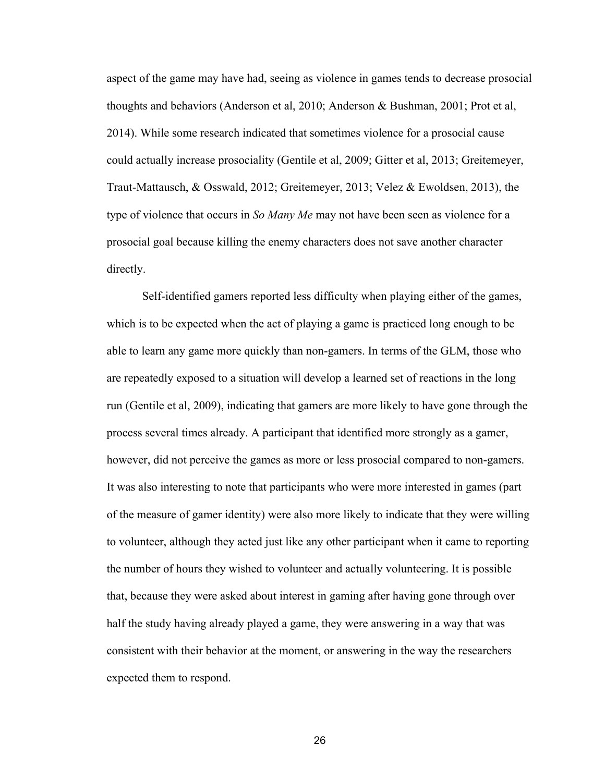aspect of the game may have had, seeing as violence in games tends to decrease prosocial thoughts and behaviors (Anderson et al, 2010; Anderson & Bushman, 2001; Prot et al, 2014). While some research indicated that sometimes violence for a prosocial cause could actually increase prosociality (Gentile et al, 2009; Gitter et al, 2013; Greitemeyer, Traut-Mattausch, & Osswald, 2012; Greitemeyer, 2013; Velez & Ewoldsen, 2013), the type of violence that occurs in *So Many Me* may not have been seen as violence for a prosocial goal because killing the enemy characters does not save another character directly.

Self-identified gamers reported less difficulty when playing either of the games, which is to be expected when the act of playing a game is practiced long enough to be able to learn any game more quickly than non-gamers. In terms of the GLM, those who are repeatedly exposed to a situation will develop a learned set of reactions in the long run (Gentile et al, 2009), indicating that gamers are more likely to have gone through the process several times already. A participant that identified more strongly as a gamer, however, did not perceive the games as more or less prosocial compared to non-gamers. It was also interesting to note that participants who were more interested in games (part of the measure of gamer identity) were also more likely to indicate that they were willing to volunteer, although they acted just like any other participant when it came to reporting the number of hours they wished to volunteer and actually volunteering. It is possible that, because they were asked about interest in gaming after having gone through over half the study having already played a game, they were answering in a way that was consistent with their behavior at the moment, or answering in the way the researchers expected them to respond.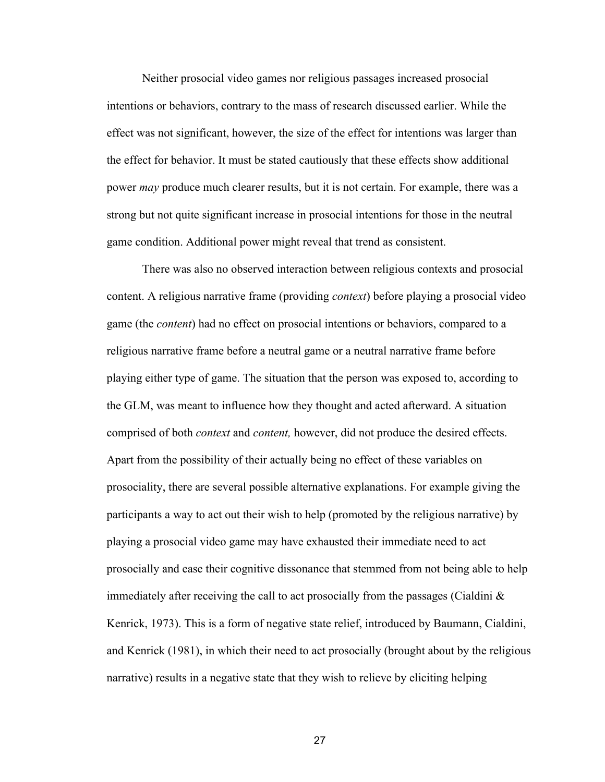Neither prosocial video games nor religious passages increased prosocial intentions or behaviors, contrary to the mass of research discussed earlier. While the effect was not significant, however, the size of the effect for intentions was larger than the effect for behavior. It must be stated cautiously that these effects show additional power *may* produce much clearer results, but it is not certain. For example, there was a strong but not quite significant increase in prosocial intentions for those in the neutral game condition. Additional power might reveal that trend as consistent.

There was also no observed interaction between religious contexts and prosocial content. A religious narrative frame (providing *context*) before playing a prosocial video game (the *content*) had no effect on prosocial intentions or behaviors, compared to a religious narrative frame before a neutral game or a neutral narrative frame before playing either type of game. The situation that the person was exposed to, according to the GLM, was meant to influence how they thought and acted afterward. A situation comprised of both *context* and *content,* however, did not produce the desired effects. Apart from the possibility of their actually being no effect of these variables on prosociality, there are several possible alternative explanations. For example giving the participants a way to act out their wish to help (promoted by the religious narrative) by playing a prosocial video game may have exhausted their immediate need to act prosocially and ease their cognitive dissonance that stemmed from not being able to help immediately after receiving the call to act prosocially from the passages (Cialdini  $\&$ Kenrick, 1973). This is a form of negative state relief, introduced by Baumann, Cialdini, and Kenrick (1981), in which their need to act prosocially (brought about by the religious narrative) results in a negative state that they wish to relieve by eliciting helping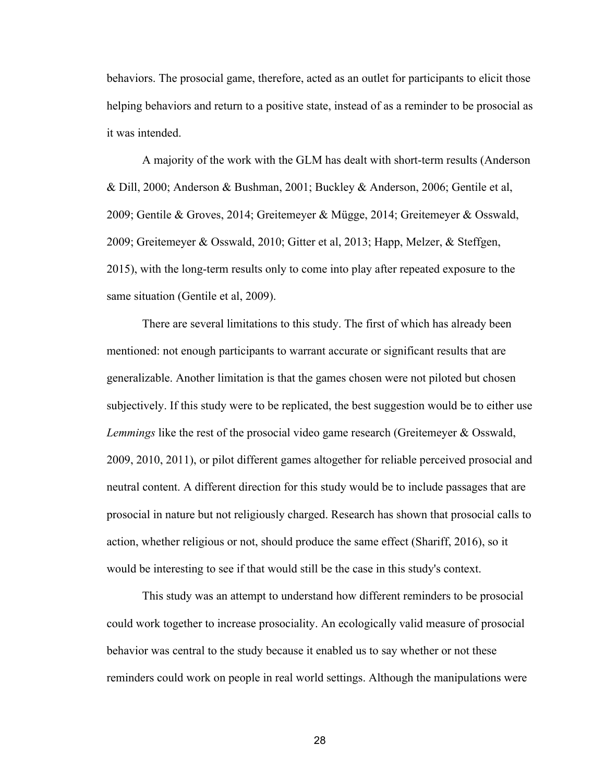behaviors. The prosocial game, therefore, acted as an outlet for participants to elicit those helping behaviors and return to a positive state, instead of as a reminder to be prosocial as it was intended.

A majority of the work with the GLM has dealt with short-term results (Anderson & Dill, 2000; Anderson & Bushman, 2001; Buckley & Anderson, 2006; Gentile et al, 2009; Gentile & Groves, 2014; Greitemeyer & Mügge, 2014; Greitemeyer & Osswald, 2009; Greitemeyer & Osswald, 2010; Gitter et al, 2013; Happ, Melzer, & Steffgen, 2015), with the long-term results only to come into play after repeated exposure to the same situation (Gentile et al, 2009).

There are several limitations to this study. The first of which has already been mentioned: not enough participants to warrant accurate or significant results that are generalizable. Another limitation is that the games chosen were not piloted but chosen subjectively. If this study were to be replicated, the best suggestion would be to either use *Lemmings* like the rest of the prosocial video game research (Greitemeyer & Osswald, 2009, 2010, 2011), or pilot different games altogether for reliable perceived prosocial and neutral content. A different direction for this study would be to include passages that are prosocial in nature but not religiously charged. Research has shown that prosocial calls to action, whether religious or not, should produce the same effect (Shariff, 2016), so it would be interesting to see if that would still be the case in this study's context.

This study was an attempt to understand how different reminders to be prosocial could work together to increase prosociality. An ecologically valid measure of prosocial behavior was central to the study because it enabled us to say whether or not these reminders could work on people in real world settings. Although the manipulations were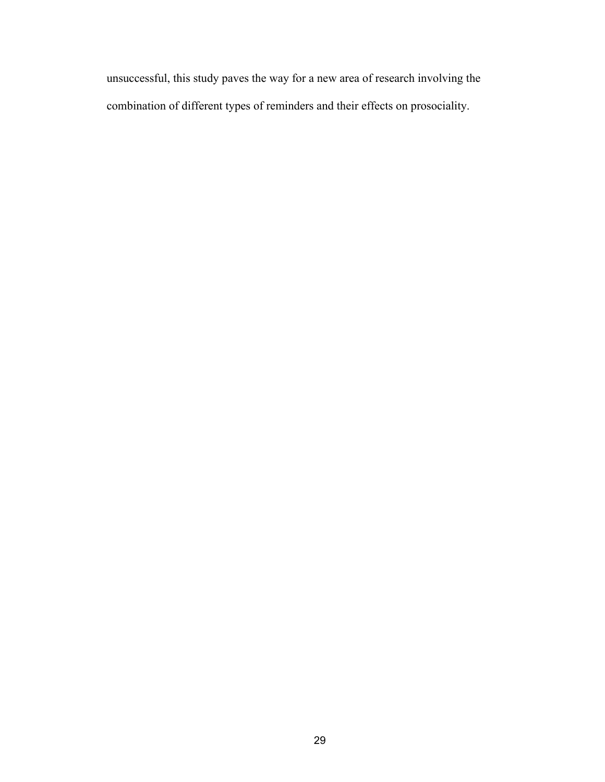unsuccessful, this study paves the way for a new area of research involving the combination of different types of reminders and their effects on prosociality.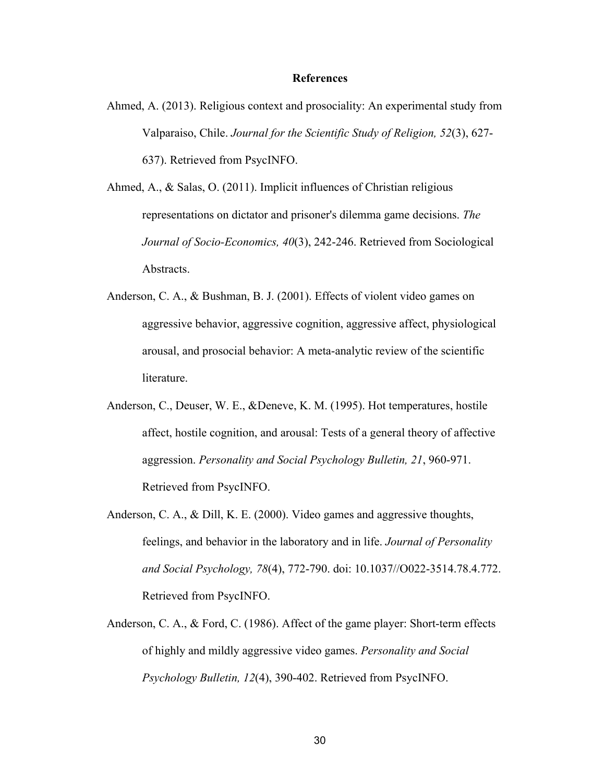### **References**

Ahmed, A. (2013). Religious context and prosociality: An experimental study from Valparaiso, Chile. *Journal for the Scientific Study of Religion, 52*(3), 627- 637). Retrieved from PsycINFO.

Ahmed, A., & Salas, O. (2011). Implicit influences of Christian religious representations on dictator and prisoner's dilemma game decisions. *The Journal of Socio-Economics, 40*(3), 242-246. Retrieved from Sociological Abstracts.

- Anderson, C. A., & Bushman, B. J. (2001). Effects of violent video games on aggressive behavior, aggressive cognition, aggressive affect, physiological arousal, and prosocial behavior: A meta-analytic review of the scientific literature.
- Anderson, C., Deuser, W. E., &Deneve, K. M. (1995). Hot temperatures, hostile affect, hostile cognition, and arousal: Tests of a general theory of affective aggression. *Personality and Social Psychology Bulletin, 21*, 960-971. Retrieved from PsycINFO.
- Anderson, C. A., & Dill, K. E. (2000). Video games and aggressive thoughts, feelings, and behavior in the laboratory and in life. *Journal of Personality and Social Psychology, 78*(4), 772-790. doi: 10.1037//O022-3514.78.4.772. Retrieved from PsycINFO.
- Anderson, C. A., & Ford, C. (1986). Affect of the game player: Short-term effects of highly and mildly aggressive video games. *Personality and Social Psychology Bulletin, 12*(4), 390-402. Retrieved from PsycINFO.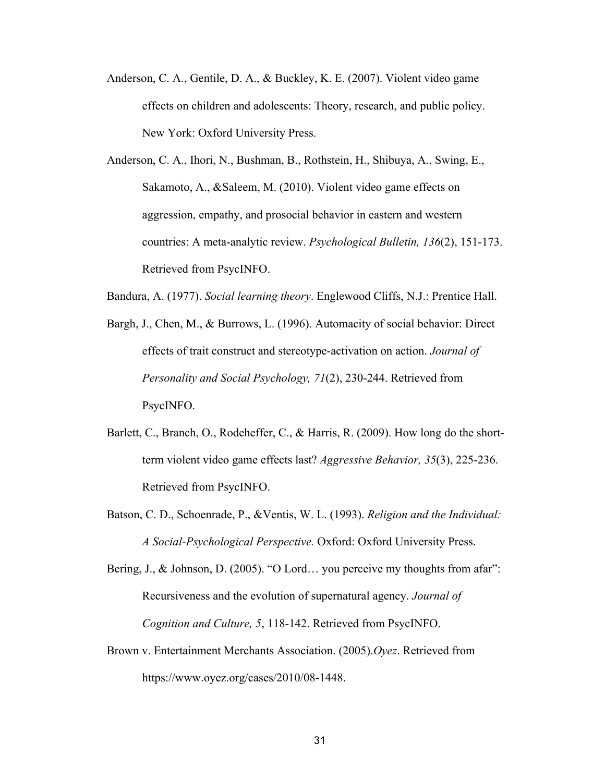- Anderson, C. A., Gentile, D. A., & Buckley, K. E. (2007). Violent video game effects on children and adolescents: Theory, research, and public policy. New York: Oxford University Press.
- Anderson, C. A., Ihori, N., Bushman, B., Rothstein, H., Shibuya, A., Swing, E., Sakamoto, A., &Saleem, M. (2010). Violent video game effects on aggression, empathy, and prosocial behavior in eastern and western countries: A meta-analytic review. *Psychological Bulletin, 136*(2), 151-173. Retrieved from PsycINFO.

Bandura, A. (1977). *Social learning theory*. Englewood Cliffs, N.J.: Prentice Hall.

- Bargh, J., Chen, M., & Burrows, L. (1996). Automacity of social behavior: Direct effects of trait construct and stereotype-activation on action. *Journal of Personality and Social Psychology, 71*(2), 230-244. Retrieved from PsycINFO.
- Barlett, C., Branch, O., Rodeheffer, C., & Harris, R. (2009). How long do the shortterm violent video game effects last? *Aggressive Behavior, 35*(3), 225-236. Retrieved from PsycINFO.
- Batson, C. D., Schoenrade, P., &Ventis, W. L. (1993). *Religion and the Individual: A Social-Psychological Perspective.* Oxford: Oxford University Press.

Bering, J., & Johnson, D. (2005). "O Lord... you perceive my thoughts from afar": Recursiveness and the evolution of supernatural agency. *Journal of Cognition and Culture, 5*, 118-142. Retrieved from PsycINFO.

Brown v. Entertainment Merchants Association. (2005).*Oyez*. Retrieved from https://www.oyez.org/cases/2010/08-1448.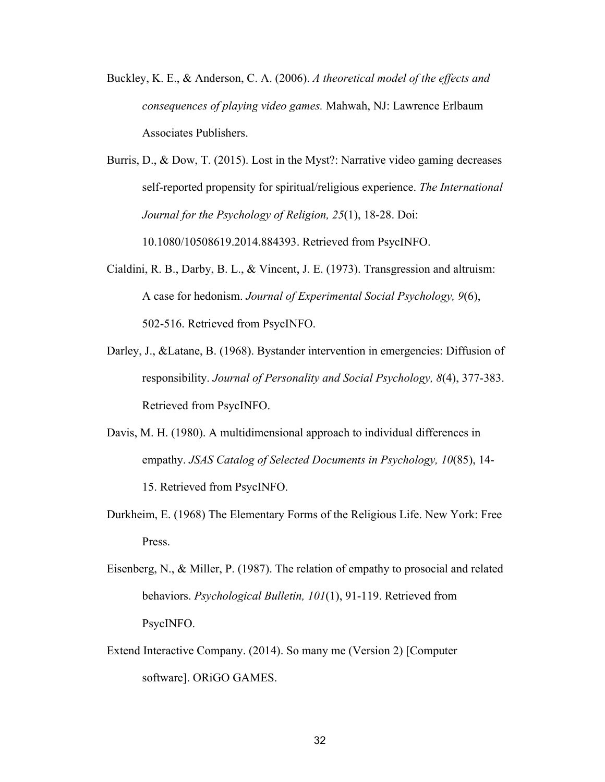- Buckley, K. E., & Anderson, C. A. (2006). *A theoretical model of the effects and consequences of playing video games.* Mahwah, NJ: Lawrence Erlbaum Associates Publishers.
- Burris, D., & Dow, T. (2015). Lost in the Myst?: Narrative video gaming decreases self-reported propensity for spiritual/religious experience. *The International Journal for the Psychology of Religion, 25*(1), 18-28. Doi: 10.1080/10508619.2014.884393. Retrieved from PsycINFO.
- Cialdini, R. B., Darby, B. L., & Vincent, J. E. (1973). Transgression and altruism: A case for hedonism. *Journal of Experimental Social Psychology, 9*(6), 502-516. Retrieved from PsycINFO.
- Darley, J., &Latane, B. (1968). Bystander intervention in emergencies: Diffusion of responsibility. *Journal of Personality and Social Psychology, 8*(4), 377-383. Retrieved from PsycINFO.
- Davis, M. H. (1980). A multidimensional approach to individual differences in empathy. *JSAS Catalog of Selected Documents in Psychology, 10*(85), 14- 15. Retrieved from PsycINFO.
- Durkheim, E. (1968) The Elementary Forms of the Religious Life. New York: Free Press.
- Eisenberg, N., & Miller, P. (1987). The relation of empathy to prosocial and related behaviors. *Psychological Bulletin, 101*(1), 91-119. Retrieved from PsycINFO.
- Extend Interactive Company. (2014). So many me (Version 2) [Computer software]. ORiGO GAMES.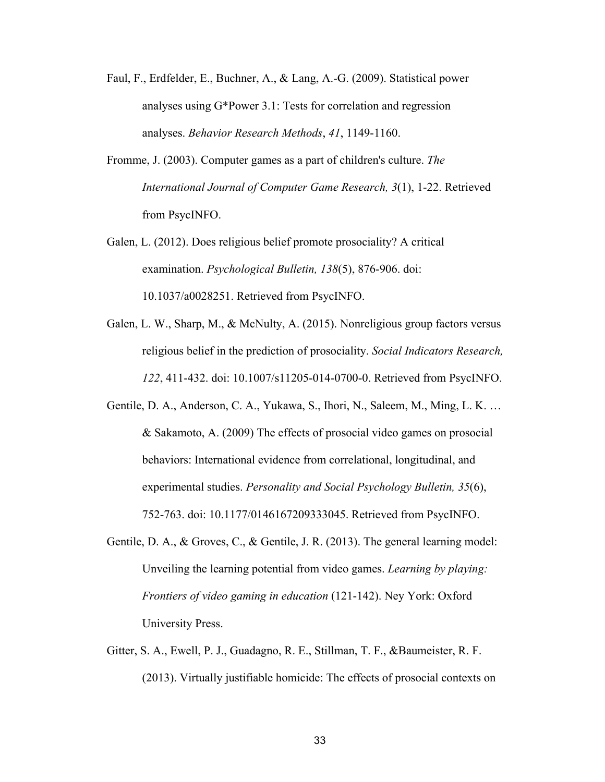- Faul, F., Erdfelder, E., Buchner, A., & Lang, A.-G. (2009). Statistical power analyses using G\*Power 3.1: Tests for correlation and regression analyses. *Behavior Research Methods*, *41*, 1149-1160.
- Fromme, J. (2003). Computer games as a part of children's culture. *The International Journal of Computer Game Research, 3*(1), 1-22. Retrieved from PsycINFO.
- Galen, L. (2012). Does religious belief promote prosociality? A critical examination. *Psychological Bulletin, 138*(5), 876-906. doi: 10.1037/a0028251. Retrieved from PsycINFO.
- Galen, L. W., Sharp, M., & McNulty, A. (2015). Nonreligious group factors versus religious belief in the prediction of prosociality. *Social Indicators Research, 122*, 411-432. doi: 10.1007/s11205-014-0700-0. Retrieved from PsycINFO.
- Gentile, D. A., Anderson, C. A., Yukawa, S., Ihori, N., Saleem, M., Ming, L. K. … & Sakamoto, A. (2009) The effects of prosocial video games on prosocial behaviors: International evidence from correlational, longitudinal, and experimental studies. *Personality and Social Psychology Bulletin, 35*(6), 752-763. doi: 10.1177/0146167209333045. Retrieved from PsycINFO.
- Gentile, D. A., & Groves, C., & Gentile, J. R. (2013). The general learning model: Unveiling the learning potential from video games. *Learning by playing: Frontiers of video gaming in education* (121-142). Ney York: Oxford University Press.
- Gitter, S. A., Ewell, P. J., Guadagno, R. E., Stillman, T. F., &Baumeister, R. F. (2013). Virtually justifiable homicide: The effects of prosocial contexts on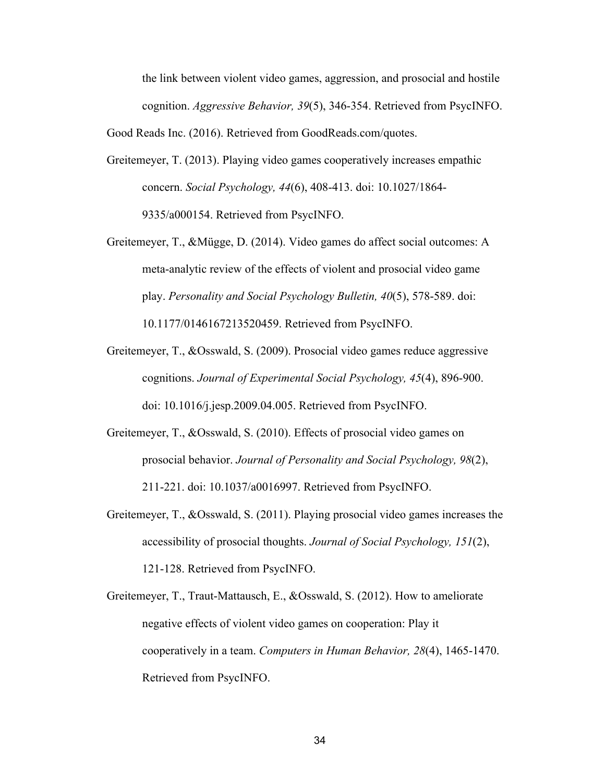the link between violent video games, aggression, and prosocial and hostile cognition. *Aggressive Behavior, 39*(5), 346-354. Retrieved from PsycINFO.

Good Reads Inc. (2016). Retrieved from GoodReads.com/quotes.

Greitemeyer, T. (2013). Playing video games cooperatively increases empathic concern. *Social Psychology, 44*(6), 408-413. doi: 10.1027/1864- 9335/a000154. Retrieved from PsycINFO.

Greitemeyer, T., &Mügge, D. (2014). Video games do affect social outcomes: A meta-analytic review of the effects of violent and prosocial video game play. *Personality and Social Psychology Bulletin, 40*(5), 578-589. doi: 10.1177/0146167213520459. Retrieved from PsycINFO.

- Greitemeyer, T., &Osswald, S. (2009). Prosocial video games reduce aggressive cognitions. *Journal of Experimental Social Psychology, 45*(4), 896-900. doi: 10.1016/j.jesp.2009.04.005. Retrieved from PsycINFO.
- Greitemeyer, T., &Osswald, S. (2010). Effects of prosocial video games on prosocial behavior. *Journal of Personality and Social Psychology, 98*(2), 211-221. doi: 10.1037/a0016997. Retrieved from PsycINFO.
- Greitemeyer, T., &Osswald, S. (2011). Playing prosocial video games increases the accessibility of prosocial thoughts. *Journal of Social Psychology, 151*(2), 121-128. Retrieved from PsycINFO.
- Greitemeyer, T., Traut-Mattausch, E., &Osswald, S. (2012). How to ameliorate negative effects of violent video games on cooperation: Play it cooperatively in a team. *Computers in Human Behavior, 28*(4), 1465-1470. Retrieved from PsycINFO.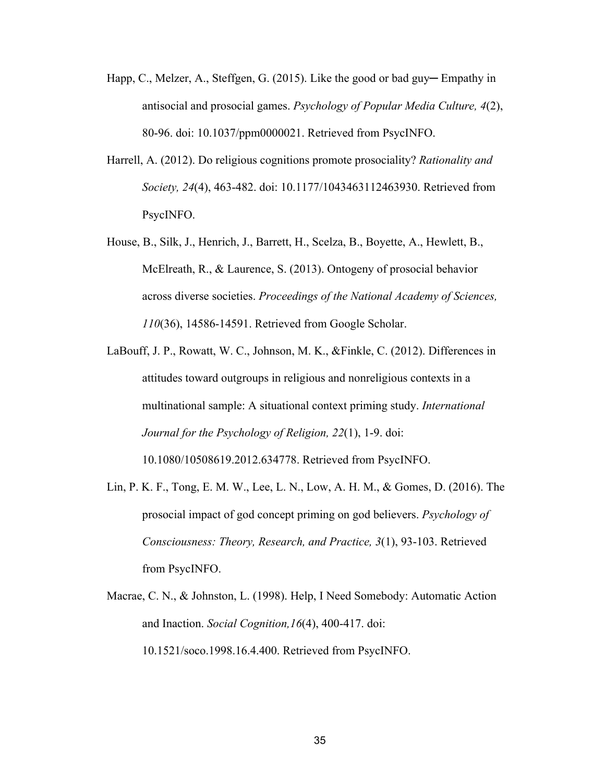- Happ, C., Melzer, A., Steffgen, G. (2015). Like the good or bad guy— Empathy in antisocial and prosocial games. *Psychology of Popular Media Culture, 4*(2), 80-96. doi: 10.1037/ppm0000021. Retrieved from PsycINFO.
- Harrell, A. (2012). Do religious cognitions promote prosociality? *Rationality and Society, 24*(4), 463-482. doi: 10.1177/1043463112463930. Retrieved from PsycINFO.
- House, B., Silk, J., Henrich, J., Barrett, H., Scelza, B., Boyette, A., Hewlett, B., McElreath, R., & Laurence, S. (2013). Ontogeny of prosocial behavior across diverse societies. *Proceedings of the National Academy of Sciences, 110*(36), 14586-14591. Retrieved from Google Scholar.
- LaBouff, J. P., Rowatt, W. C., Johnson, M. K., &Finkle, C. (2012). Differences in attitudes toward outgroups in religious and nonreligious contexts in a multinational sample: A situational context priming study. *International Journal for the Psychology of Religion, 22*(1), 1-9. doi: 10.1080/10508619.2012.634778. Retrieved from PsycINFO.
- Lin, P. K. F., Tong, E. M. W., Lee, L. N., Low, A. H. M., & Gomes, D. (2016). The prosocial impact of god concept priming on god believers. *Psychology of Consciousness: Theory, Research, and Practice, 3*(1), 93-103. Retrieved from PsycINFO.
- Macrae, C. N., & Johnston, L. (1998). Help, I Need Somebody: Automatic Action and Inaction. *Social Cognition,16*(4), 400-417. doi: 10.1521/soco.1998.16.4.400. Retrieved from PsycINFO.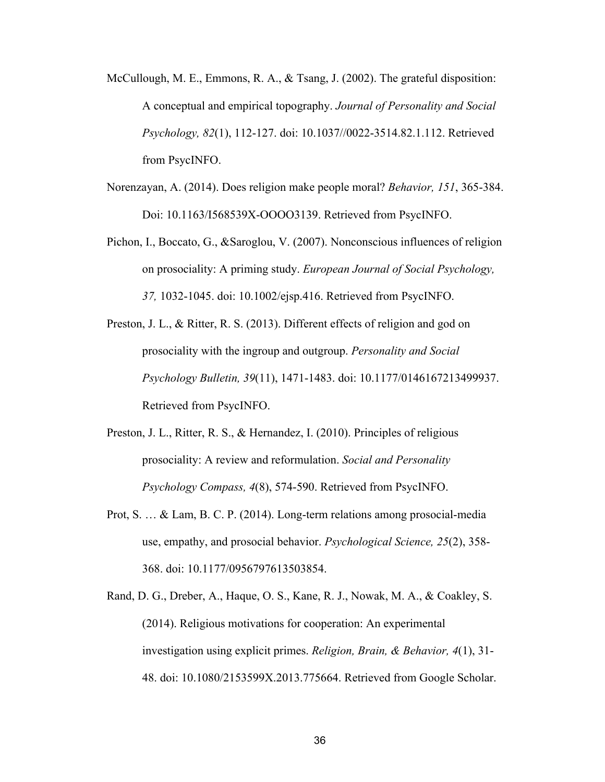- McCullough, M. E., Emmons, R. A., & Tsang, J. (2002). The grateful disposition: A conceptual and empirical topography. *Journal of Personality and Social Psychology, 82*(1), 112-127. doi: 10.1037//0022-3514.82.1.112. Retrieved from PsycINFO.
- Norenzayan, A. (2014). Does religion make people moral? *Behavior, 151*, 365-384. Doi: 10.1163/I568539X-OOOO3139. Retrieved from PsycINFO.
- Pichon, I., Boccato, G., &Saroglou, V. (2007). Nonconscious influences of religion on prosociality: A priming study. *European Journal of Social Psychology, 37,* 1032-1045. doi: 10.1002/ejsp.416. Retrieved from PsycINFO.
- Preston, J. L., & Ritter, R. S. (2013). Different effects of religion and god on prosociality with the ingroup and outgroup. *Personality and Social Psychology Bulletin, 39*(11), 1471-1483. doi: 10.1177/0146167213499937. Retrieved from PsycINFO.
- Preston, J. L., Ritter, R. S., & Hernandez, I. (2010). Principles of religious prosociality: A review and reformulation. *Social and Personality Psychology Compass, 4*(8), 574-590. Retrieved from PsycINFO.
- Prot, S. … & Lam, B. C. P. (2014). Long-term relations among prosocial-media use, empathy, and prosocial behavior. *Psychological Science, 25*(2), 358- 368. doi: 10.1177/0956797613503854.
- Rand, D. G., Dreber, A., Haque, O. S., Kane, R. J., Nowak, M. A., & Coakley, S. (2014). Religious motivations for cooperation: An experimental investigation using explicit primes. *Religion, Brain, & Behavior, 4*(1), 31- 48. doi: 10.1080/2153599X.2013.775664. Retrieved from Google Scholar.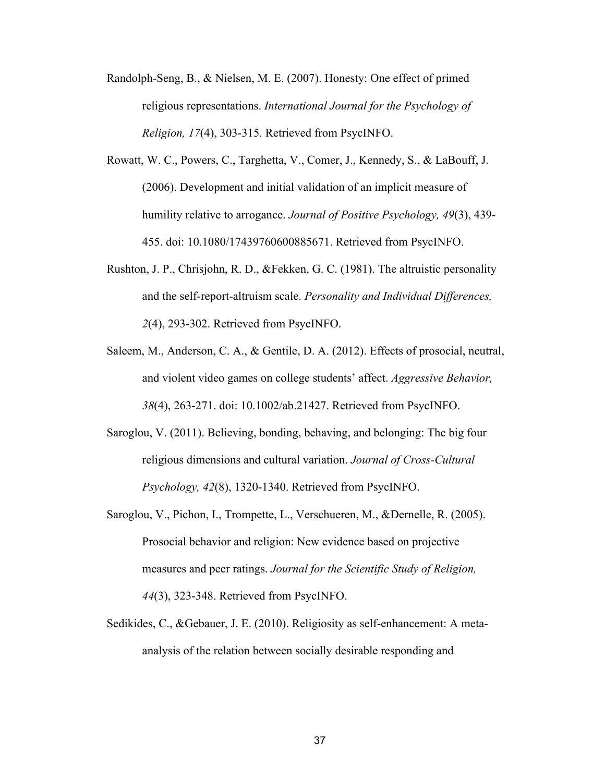- Randolph-Seng, B., & Nielsen, M. E. (2007). Honesty: One effect of primed religious representations. *International Journal for the Psychology of Religion, 17*(4), 303-315. Retrieved from PsycINFO.
- Rowatt, W. C., Powers, C., Targhetta, V., Comer, J., Kennedy, S., & LaBouff, J. (2006). Development and initial validation of an implicit measure of humility relative to arrogance. *Journal of Positive Psychology, 49*(3), 439- 455. doi: 10.1080/17439760600885671. Retrieved from PsycINFO.
- Rushton, J. P., Chrisjohn, R. D., &Fekken, G. C. (1981). The altruistic personality and the self-report-altruism scale. *Personality and Individual Differences, 2*(4), 293-302. Retrieved from PsycINFO.
- Saleem, M., Anderson, C. A., & Gentile, D. A. (2012). Effects of prosocial, neutral, and violent video games on college students' affect. *Aggressive Behavior, 38*(4), 263-271. doi: 10.1002/ab.21427. Retrieved from PsycINFO.
- Saroglou, V. (2011). Believing, bonding, behaving, and belonging: The big four religious dimensions and cultural variation. *Journal of Cross-Cultural Psychology, 42*(8), 1320-1340. Retrieved from PsycINFO.
- Saroglou, V., Pichon, I., Trompette, L., Verschueren, M., &Dernelle, R. (2005). Prosocial behavior and religion: New evidence based on projective measures and peer ratings. *Journal for the Scientific Study of Religion, 44*(3), 323-348. Retrieved from PsycINFO.
- Sedikides, C., &Gebauer, J. E. (2010). Religiosity as self-enhancement: A metaanalysis of the relation between socially desirable responding and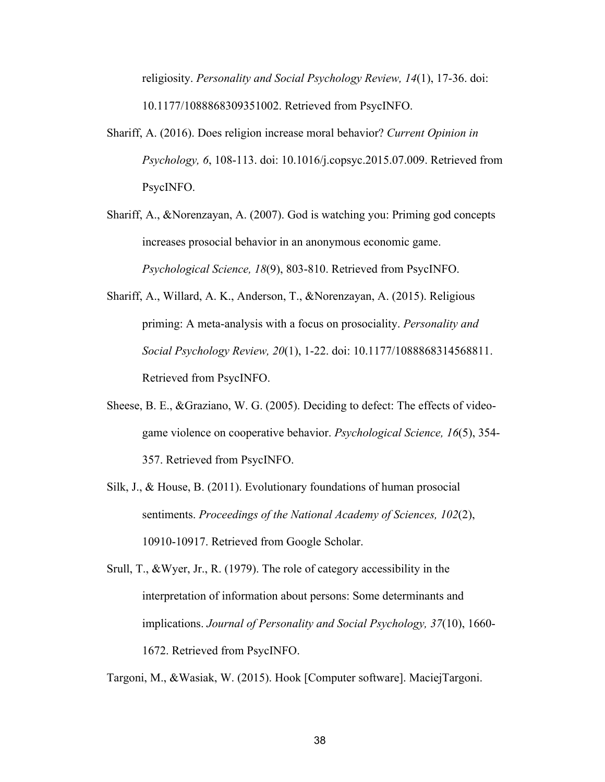religiosity. *Personality and Social Psychology Review, 14*(1), 17-36. doi: 10.1177/1088868309351002. Retrieved from PsycINFO.

- Shariff, A. (2016). Does religion increase moral behavior? *Current Opinion in Psychology, 6*, 108-113. doi: 10.1016/j.copsyc.2015.07.009. Retrieved from PsycINFO.
- Shariff, A., &Norenzayan, A. (2007). God is watching you: Priming god concepts increases prosocial behavior in an anonymous economic game. *Psychological Science, 18*(9), 803-810. Retrieved from PsycINFO.
- Shariff, A., Willard, A. K., Anderson, T., &Norenzayan, A. (2015). Religious priming: A meta-analysis with a focus on prosociality. *Personality and Social Psychology Review, 20*(1), 1-22. doi: 10.1177/1088868314568811. Retrieved from PsycINFO.
- Sheese, B. E., &Graziano, W. G. (2005). Deciding to defect: The effects of videogame violence on cooperative behavior. *Psychological Science, 16*(5), 354- 357. Retrieved from PsycINFO.
- Silk, J., & House, B. (2011). Evolutionary foundations of human prosocial sentiments. *Proceedings of the National Academy of Sciences, 102*(2), 10910-10917. Retrieved from Google Scholar.
- Srull, T., &Wyer, Jr., R. (1979). The role of category accessibility in the interpretation of information about persons: Some determinants and implications. *Journal of Personality and Social Psychology, 37*(10), 1660- 1672. Retrieved from PsycINFO.

Targoni, M., &Wasiak, W. (2015). Hook [Computer software]. MaciejTargoni.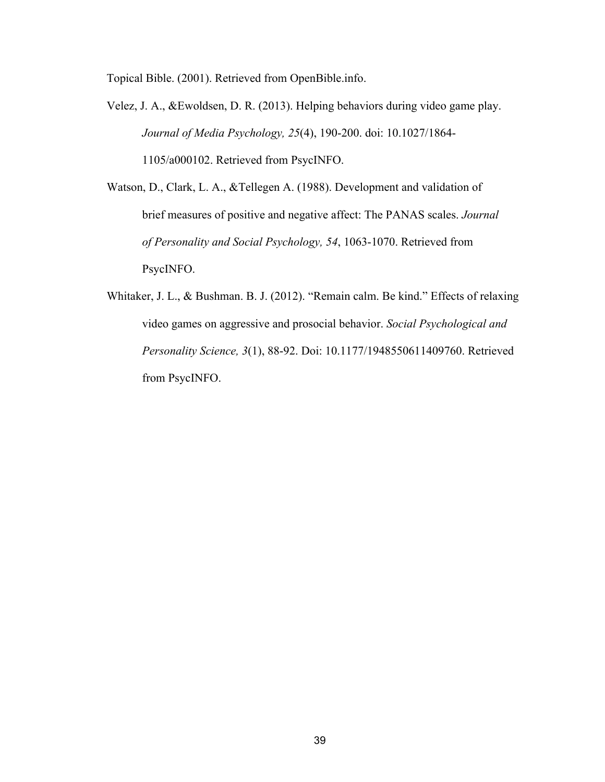Topical Bible. (2001). Retrieved from OpenBible.info.

- Velez, J. A., &Ewoldsen, D. R. (2013). Helping behaviors during video game play. *Journal of Media Psychology, 25*(4), 190-200. doi: 10.1027/1864- 1105/a000102. Retrieved from PsycINFO.
- Watson, D., Clark, L. A., &Tellegen A. (1988). Development and validation of brief measures of positive and negative affect: The PANAS scales. *Journal of Personality and Social Psychology, 54*, 1063-1070. Retrieved from PsycINFO.
- Whitaker, J. L., & Bushman. B. J. (2012). "Remain calm. Be kind." Effects of relaxing video games on aggressive and prosocial behavior. *Social Psychological and Personality Science, 3*(1), 88-92. Doi: 10.1177/1948550611409760. Retrieved from PsycINFO.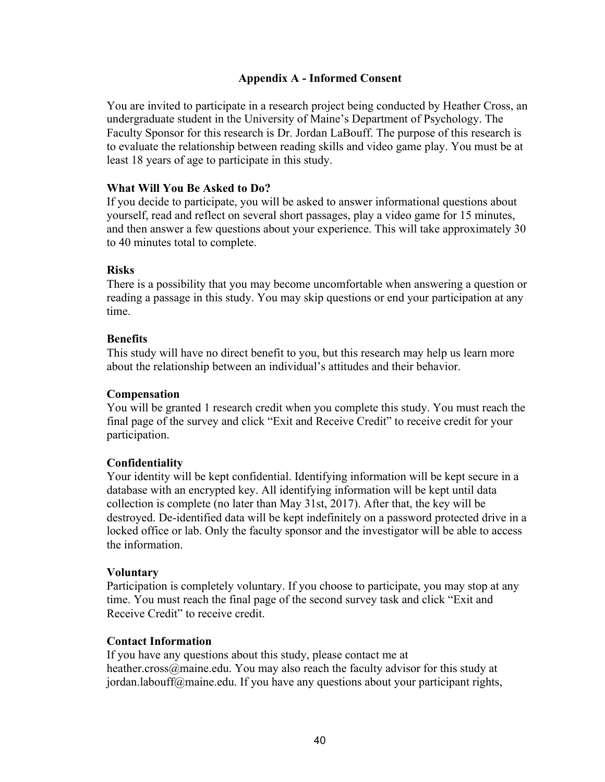# **Appendix A - Informed Consent**

You are invited to participate in a research project being conducted by Heather Cross, an undergraduate student in the University of Maine's Department of Psychology. The Faculty Sponsor for this research is Dr. Jordan LaBouff. The purpose of this research is to evaluate the relationship between reading skills and video game play. You must be at least 18 years of age to participate in this study.

# **What Will You Be Asked to Do?**

If you decide to participate, you will be asked to answer informational questions about yourself, read and reflect on several short passages, play a video game for 15 minutes, and then answer a few questions about your experience. This will take approximately 30 to 40 minutes total to complete.

# **Risks**

There is a possibility that you may become uncomfortable when answering a question or reading a passage in this study. You may skip questions or end your participation at any time.

# **Benefits**

This study will have no direct benefit to you, but this research may help us learn more about the relationship between an individual's attitudes and their behavior.

# **Compensation**

You will be granted 1 research credit when you complete this study. You must reach the final page of the survey and click "Exit and Receive Credit" to receive credit for your participation.

# **Confidentiality**

Your identity will be kept confidential. Identifying information will be kept secure in a database with an encrypted key. All identifying information will be kept until data collection is complete (no later than May 31st, 2017). After that, the key will be destroyed. De-identified data will be kept indefinitely on a password protected drive in a locked office or lab. Only the faculty sponsor and the investigator will be able to access the information.

# **Voluntary**

Participation is completely voluntary. If you choose to participate, you may stop at any time. You must reach the final page of the second survey task and click "Exit and Receive Credit" to receive credit.

# **Contact Information**

If you have any questions about this study, please contact me at heather.cross@maine.edu. You may also reach the faculty advisor for this study at jordan.labouff@maine.edu. If you have any questions about your participant rights,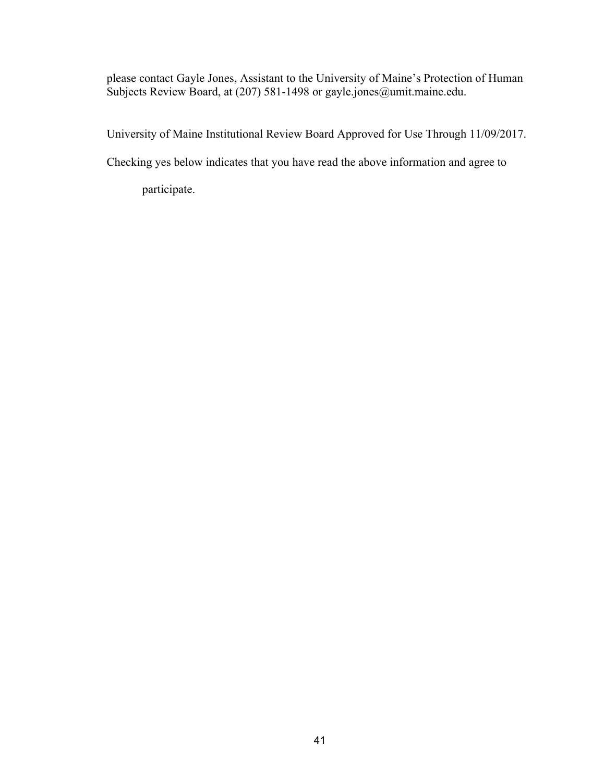please contact Gayle Jones, Assistant to the University of Maine's Protection of Human Subjects Review Board, at (207) 581-1498 or gayle.jones@umit.maine.edu.

University of Maine Institutional Review Board Approved for Use Through 11/09/2017.

Checking yes below indicates that you have read the above information and agree to

participate.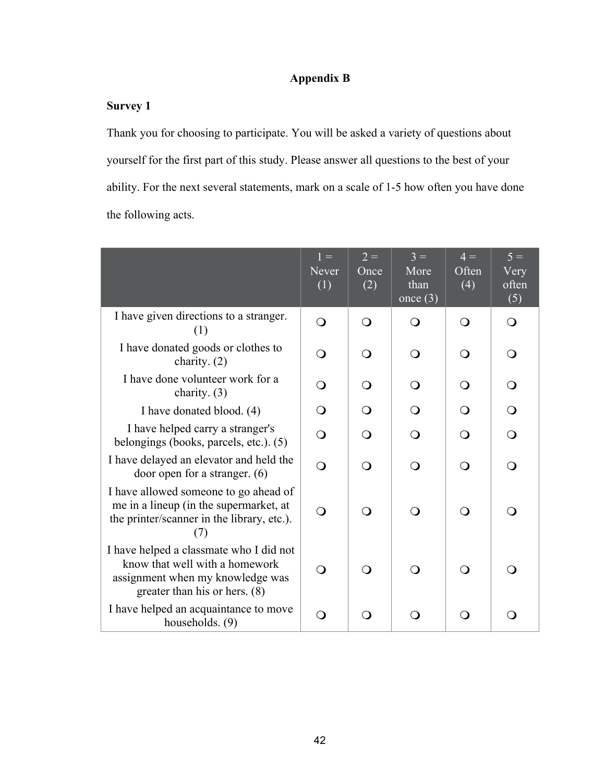# **Appendix B**

# **Survey 1**

Thank you for choosing to participate. You will be asked a variety of questions about yourself for the first part of this study. Please answer all questions to the best of your ability. For the next several statements, mark on a scale of 1-5 how often you have done the following acts.

|                                                                                                                                                  | $1 =$<br><b>Never</b><br>(1) | $2 =$<br>Once<br>(2) | $3 =$<br>More<br>than<br>once $(3)$ | $4 =$<br>Often<br>(4) | $5 =$<br>Very<br>often<br>(5) |
|--------------------------------------------------------------------------------------------------------------------------------------------------|------------------------------|----------------------|-------------------------------------|-----------------------|-------------------------------|
| I have given directions to a stranger.<br>(1)                                                                                                    | $\overline{O}$               | $\Omega$             | ∩                                   | $\Omega$              | $\Omega$                      |
| I have donated goods or clothes to<br>charity. $(2)$                                                                                             | $\overline{O}$               | ∩                    | $\Omega$                            | $\Omega$              | $\Omega$                      |
| I have done volunteer work for a<br>charity. $(3)$                                                                                               | $\bigcirc$                   | ∩                    | ∩                                   | ∩                     | O                             |
| I have donated blood. (4)                                                                                                                        | $\Omega$                     | $\Omega$             | $\Omega$                            |                       | $\Omega$                      |
| I have helped carry a stranger's<br>belongings (books, parcels, etc.). (5)                                                                       | $\overline{O}$               | ∩                    | ∩                                   | ∩                     | $\bigcirc$                    |
| I have delayed an elevator and held the<br>door open for a stranger. $(6)$                                                                       | $\Omega$                     | $\Omega$             | $\Omega$                            | ∩                     | ∩                             |
| I have allowed someone to go ahead of<br>me in a lineup (in the supermarket, at<br>the printer/scanner in the library, etc.).<br>(7)             | $\Omega$                     | ∩                    | ∩                                   | ∩                     | ∩                             |
| I have helped a classmate who I did not<br>know that well with a homework<br>assignment when my knowledge was<br>greater than his or hers. $(8)$ | ∩                            | ∩                    | ∩ )                                 | $\Omega$              | $\Omega$                      |
| I have helped an acquaintance to move<br>households. (9)                                                                                         |                              |                      |                                     |                       |                               |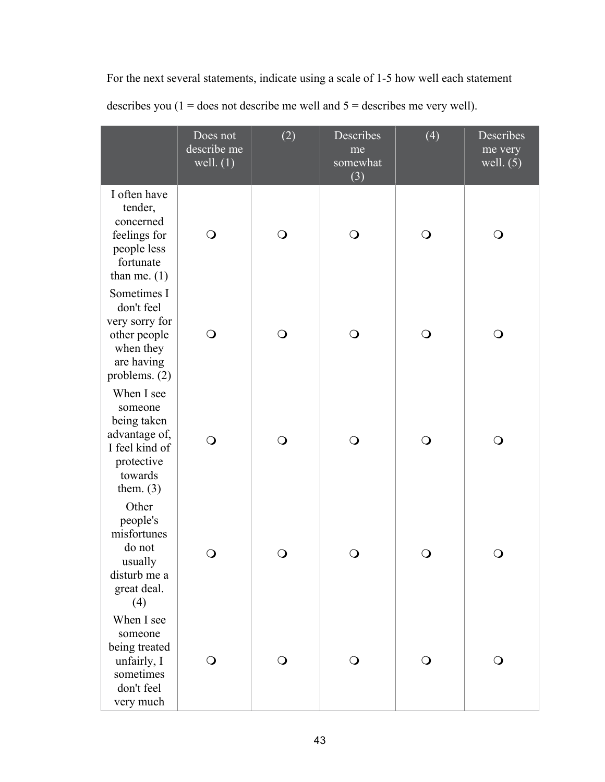|                                                                                                                 | Does not<br>describe me<br>well. $(1)$ | (2)          | Describes<br>me<br>somewhat<br>(3) | (4)          | Describes<br>me very<br>well. $(5)$ |
|-----------------------------------------------------------------------------------------------------------------|----------------------------------------|--------------|------------------------------------|--------------|-------------------------------------|
| I often have<br>tender,<br>concerned<br>feelings for<br>people less<br>fortunate<br>than me. $(1)$              | $\bigcirc$                             | $\bigcirc$   | $\bigcirc$                         | $\bigcirc$   | $\mathsf{O}$                        |
| Sometimes I<br>don't feel<br>very sorry for<br>other people<br>when they<br>are having<br>problems. (2)         | $\bigcirc$                             | $\bigcirc$   | $\bigcirc$                         | $\mathsf{O}$ | $\mathsf{O}$                        |
| When I see<br>someone<br>being taken<br>advantage of,<br>I feel kind of<br>protective<br>towards<br>them. $(3)$ | $\bigcirc$                             | $\bigcirc$   | $\bigcirc$                         | $\mathsf{O}$ | O                                   |
| Other<br>people's<br>misfortunes<br>do not<br>usually<br>disturb me a<br>great deal.<br>(4)                     | O                                      | $\mathsf{O}$ | Ő                                  | $\cup$       | O                                   |
| When I see<br>someone<br>being treated<br>unfairly, I<br>sometimes<br>don't feel<br>very much                   | $\cup$                                 | $\Omega$     | $\mathbf{O}$                       | $\Omega$     | $\cup$                              |

For the next several statements, indicate using a scale of 1-5 how well each statement describes you ( $1 =$  does not describe me well and  $5 =$  describes me very well).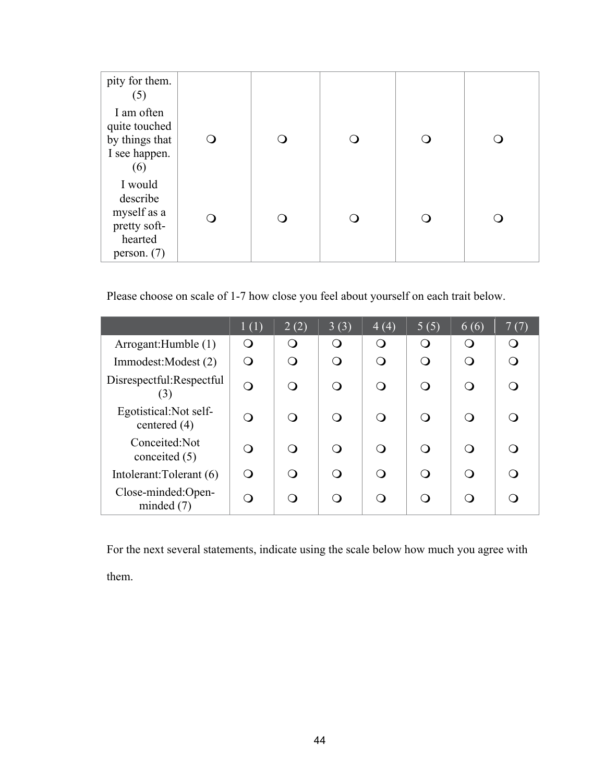| pity for them.<br>(5)                                                          |  |  |  |
|--------------------------------------------------------------------------------|--|--|--|
| I am often<br>quite touched<br>by things that<br>I see happen.<br>(6)          |  |  |  |
| I would<br>describe<br>myself as a<br>pretty soft-<br>hearted<br>person. $(7)$ |  |  |  |

Please choose on scale of 1-7 how close you feel about yourself on each trait below.

|                                          | 1(1)                   | 2(2) | 3(3)     | 4(4)             | 5(5)             | 6(6)     | 7(7)             |
|------------------------------------------|------------------------|------|----------|------------------|------------------|----------|------------------|
| Arrogant:Humble (1)                      |                        | O    | $\Omega$ | $\left( \right)$ | $\left( \right)$ | $\Omega$ | $\left( \right)$ |
| Immodest: Modest (2)                     |                        | ∩    | ∩        | ∩                |                  |          |                  |
| Disrespectful:Respectful<br>(3)          | $\Omega$               | ∩    | ∩        |                  |                  |          |                  |
| Egotistical: Not self-<br>centered $(4)$ | $\left( \quad \right)$ | ∩    |          |                  |                  |          |                  |
| Conceited:Not<br>conceited $(5)$         | ()                     | ∩    | ∩        |                  |                  |          |                  |
| Intolerant: Tolerant (6)                 |                        | ∩    | ∩        | ⌒                |                  |          |                  |
| Close-minded:Open-<br>minded $(7)$       |                        | ∩    |          |                  |                  |          |                  |

For the next several statements, indicate using the scale below how much you agree with them.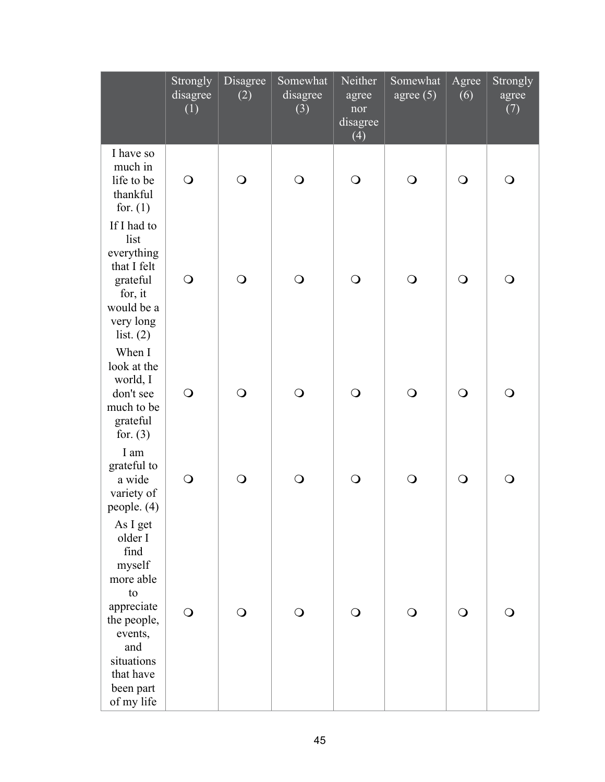|                                                                                                                                                               | Strongly<br>disagree<br>(1) | Disagree<br>(2) | Somewhat<br>disagree<br>(3) | Neither<br>agree<br>nor<br>disagree<br>(4) | Somewhat<br>agree $(5)$ | Agree<br>(6) | Strongly<br>agree<br>(7) |
|---------------------------------------------------------------------------------------------------------------------------------------------------------------|-----------------------------|-----------------|-----------------------------|--------------------------------------------|-------------------------|--------------|--------------------------|
| I have so<br>much in<br>life to be<br>thankful<br>for. $(1)$                                                                                                  | $\bigcirc$                  | $\bigcirc$      | $\bigcirc$                  | $\bigcirc$                                 | $\bigcirc$              | $\bigcirc$   | $\bigcirc$               |
| If I had to<br>list<br>everything<br>that I felt<br>grateful<br>for, it<br>would be a<br>very long<br>list. $(2)$                                             | $\bigcirc$                  | $\bigcirc$      | $\bigcirc$                  | $\bigcirc$                                 | $\bigcirc$              | $\bigcirc$   | $\bigcirc$               |
| When I<br>look at the<br>world, I<br>don't see<br>much to be<br>grateful<br>for. $(3)$                                                                        | $\bigcirc$                  | $\bigcirc$      | $\bigcirc$                  | $\bigcirc$                                 | $\bigcirc$              | $\bigcirc$   | $\bigcirc$               |
| I am<br>grateful to<br>a wide<br>variety of<br>people. (4)                                                                                                    | $\bigcirc$                  | $\bigcirc$      | $\bigcirc$                  | $\bigcirc$                                 | $\overline{O}$          | $\bigcirc$   | $\bigcirc$               |
| As I get<br>older I<br>find<br>myself<br>more able<br>to<br>appreciate<br>the people,<br>events,<br>and<br>situations<br>that have<br>been part<br>of my life | $\bigcirc$                  | $\bigcirc$      | $\bigcirc$                  | $\bigcirc$                                 | ⊖)                      | $\mathsf{O}$ | O                        |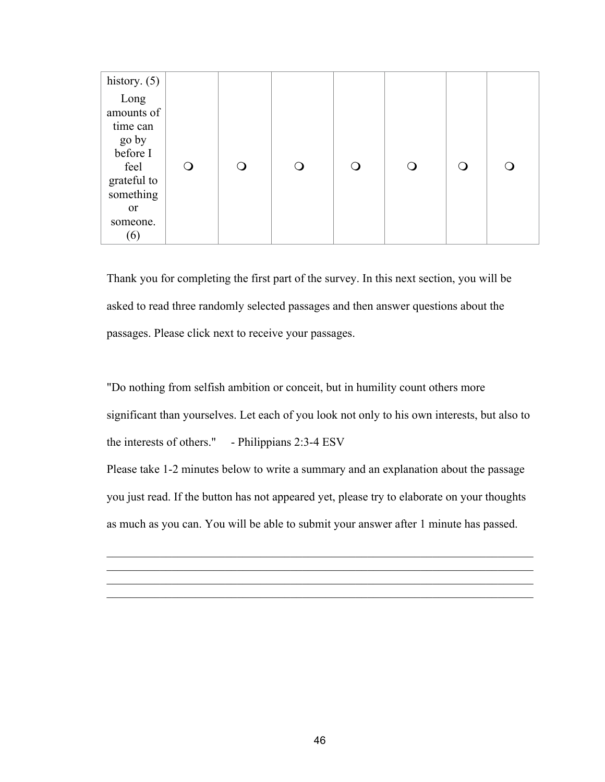| history. $(5)$                                                                                           |   |  |  |    |  |
|----------------------------------------------------------------------------------------------------------|---|--|--|----|--|
| Long<br>amounts of<br>time can<br>go by<br>before I<br>feel<br>grateful to<br>something<br><sub>or</sub> | O |  |  | ∩) |  |
| someone.<br>(6)                                                                                          |   |  |  |    |  |

Thank you for completing the first part of the survey. In this next section, you will be asked to read three randomly selected passages and then answer questions about the passages. Please click next to receive your passages.

"Do nothing from selfish ambition or conceit, but in humility count others more significant than yourselves. Let each of you look not only to his own interests, but also to the interests of others." - Philippians 2:3-4 ESV Please take 1-2 minutes below to write a summary and an explanation about the passage you just read. If the button has not appeared yet, please try to elaborate on your thoughts as much as you can. You will be able to submit your answer after 1 minute has passed.

 $\mathcal{L}_\text{max}$  , and the contribution of the contribution of the contribution of the contribution of the contribution of the contribution of the contribution of the contribution of the contribution of the contribution of t  $\mathcal{L}_\text{max}$  , and the contribution of the contribution of the contribution of the contribution of the contribution of the contribution of the contribution of the contribution of the contribution of the contribution of t  $\mathcal{L}_\text{max}$  , and the contribution of the contribution of the contribution of the contribution of the contribution of the contribution of the contribution of the contribution of the contribution of the contribution of t  $\mathcal{L}_\text{max}$  , and the contribution of the contribution of the contribution of the contribution of the contribution of the contribution of the contribution of the contribution of the contribution of the contribution of t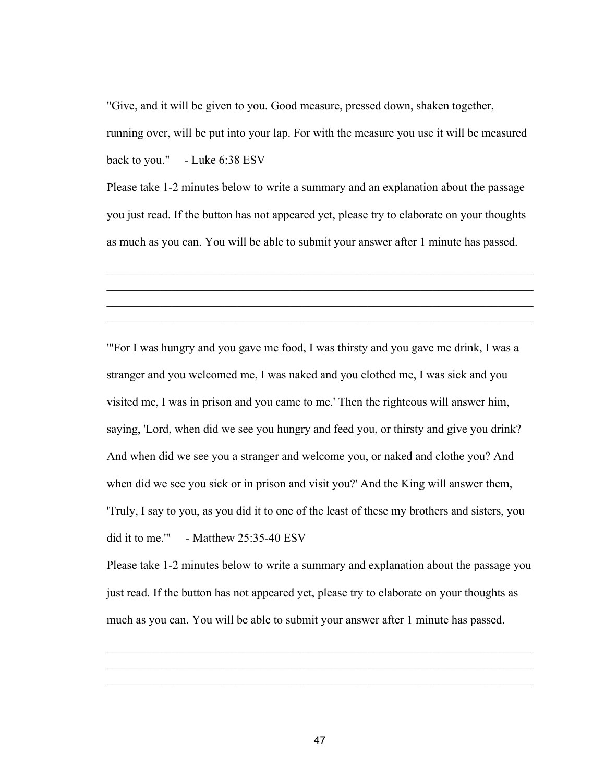"Give, and it will be given to you. Good measure, pressed down, shaken together, running over, will be put into your lap. For with the measure you use it will be measured back to you." - Luke 6:38 ESV

Please take 1-2 minutes below to write a summary and an explanation about the passage you just read. If the button has not appeared yet, please try to elaborate on your thoughts as much as you can. You will be able to submit your answer after 1 minute has passed.

 $\mathcal{L}_\text{max}$  , and the contribution of the contribution of the contribution of the contribution of the contribution of the contribution of the contribution of the contribution of the contribution of the contribution of t  $\mathcal{L}_\text{max} = \mathcal{L}_\text{max} = \mathcal{L}_\text{max} = \mathcal{L}_\text{max} = \mathcal{L}_\text{max} = \mathcal{L}_\text{max} = \mathcal{L}_\text{max} = \mathcal{L}_\text{max} = \mathcal{L}_\text{max} = \mathcal{L}_\text{max} = \mathcal{L}_\text{max} = \mathcal{L}_\text{max} = \mathcal{L}_\text{max} = \mathcal{L}_\text{max} = \mathcal{L}_\text{max} = \mathcal{L}_\text{max} = \mathcal{L}_\text{max} = \mathcal{L}_\text{max} = \mathcal{$  $\mathcal{L}_\text{max}$  , and the contribution of the contribution of the contribution of the contribution of the contribution of the contribution of the contribution of the contribution of the contribution of the contribution of t  $\mathcal{L}_\text{max}$  , and the contribution of the contribution of the contribution of the contribution of the contribution of the contribution of the contribution of the contribution of the contribution of the contribution of t

"'For I was hungry and you gave me food, I was thirsty and you gave me drink, I was a stranger and you welcomed me, I was naked and you clothed me, I was sick and you visited me, I was in prison and you came to me.' Then the righteous will answer him, saying, 'Lord, when did we see you hungry and feed you, or thirsty and give you drink? And when did we see you a stranger and welcome you, or naked and clothe you? And when did we see you sick or in prison and visit you?' And the King will answer them, 'Truly, I say to you, as you did it to one of the least of these my brothers and sisters, you did it to me." - Matthew 25:35-40 ESV

Please take 1-2 minutes below to write a summary and explanation about the passage you just read. If the button has not appeared yet, please try to elaborate on your thoughts as much as you can. You will be able to submit your answer after 1 minute has passed.

 $\mathcal{L}_\text{max}$  , and the contribution of the contribution of the contribution of the contribution of the contribution of the contribution of the contribution of the contribution of the contribution of the contribution of t  $\mathcal{L}_\text{max}$  , and the contribution of the contribution of the contribution of the contribution of the contribution of the contribution of the contribution of the contribution of the contribution of the contribution of t  $\mathcal{L}_\text{max}$  , and the contribution of the contribution of the contribution of the contribution of the contribution of the contribution of the contribution of the contribution of the contribution of the contribution of t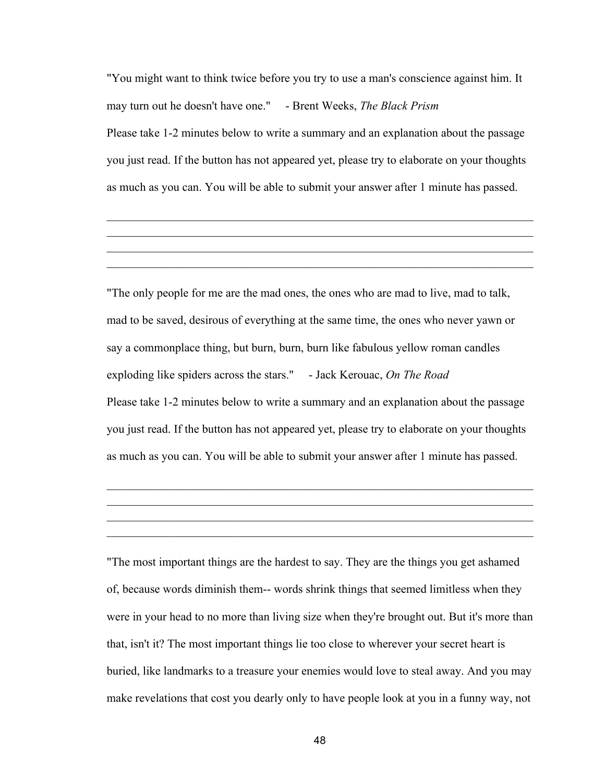"You might want to think twice before you try to use a man's conscience against him. It may turn out he doesn't have one." - Brent Weeks, *The Black Prism* Please take 1-2 minutes below to write a summary and an explanation about the passage you just read. If the button has not appeared yet, please try to elaborate on your thoughts as much as you can. You will be able to submit your answer after 1 minute has passed.

 $\mathcal{L}_\text{max}$  , and the contribution of the contribution of the contribution of the contribution of the contribution of the contribution of the contribution of the contribution of the contribution of the contribution of t  $\mathcal{L}_\text{max}$  , and the contribution of the contribution of the contribution of the contribution of the contribution of the contribution of the contribution of the contribution of the contribution of the contribution of t  $\mathcal{L}_\text{max} = \mathcal{L}_\text{max} = \mathcal{L}_\text{max} = \mathcal{L}_\text{max} = \mathcal{L}_\text{max} = \mathcal{L}_\text{max} = \mathcal{L}_\text{max} = \mathcal{L}_\text{max} = \mathcal{L}_\text{max} = \mathcal{L}_\text{max} = \mathcal{L}_\text{max} = \mathcal{L}_\text{max} = \mathcal{L}_\text{max} = \mathcal{L}_\text{max} = \mathcal{L}_\text{max} = \mathcal{L}_\text{max} = \mathcal{L}_\text{max} = \mathcal{L}_\text{max} = \mathcal{$  $\mathcal{L}_\text{max}$  , and the contribution of the contribution of the contribution of the contribution of the contribution of the contribution of the contribution of the contribution of the contribution of the contribution of t

"The only people for me are the mad ones, the ones who are mad to live, mad to talk, mad to be saved, desirous of everything at the same time, the ones who never yawn or say a commonplace thing, but burn, burn, burn like fabulous yellow roman candles exploding like spiders across the stars." - Jack Kerouac, *On The Road* Please take 1-2 minutes below to write a summary and an explanation about the passage you just read. If the button has not appeared yet, please try to elaborate on your thoughts as much as you can. You will be able to submit your answer after 1 minute has passed.

 $\mathcal{L}_\text{max}$  , and the contribution of the contribution of the contribution of the contribution of the contribution of the contribution of the contribution of the contribution of the contribution of the contribution of t  $\mathcal{L}_\text{max}$  , and the contribution of the contribution of the contribution of the contribution of the contribution of the contribution of the contribution of the contribution of the contribution of the contribution of t  $\mathcal{L}_\text{max} = \mathcal{L}_\text{max} = \mathcal{L}_\text{max} = \mathcal{L}_\text{max} = \mathcal{L}_\text{max} = \mathcal{L}_\text{max} = \mathcal{L}_\text{max} = \mathcal{L}_\text{max} = \mathcal{L}_\text{max} = \mathcal{L}_\text{max} = \mathcal{L}_\text{max} = \mathcal{L}_\text{max} = \mathcal{L}_\text{max} = \mathcal{L}_\text{max} = \mathcal{L}_\text{max} = \mathcal{L}_\text{max} = \mathcal{L}_\text{max} = \mathcal{L}_\text{max} = \mathcal{$  $\mathcal{L}_\text{max}$  , and the contribution of the contribution of the contribution of the contribution of the contribution of the contribution of the contribution of the contribution of the contribution of the contribution of t

"The most important things are the hardest to say. They are the things you get ashamed of, because words diminish them-- words shrink things that seemed limitless when they were in your head to no more than living size when they're brought out. But it's more than that, isn't it? The most important things lie too close to wherever your secret heart is buried, like landmarks to a treasure your enemies would love to steal away. And you may make revelations that cost you dearly only to have people look at you in a funny way, not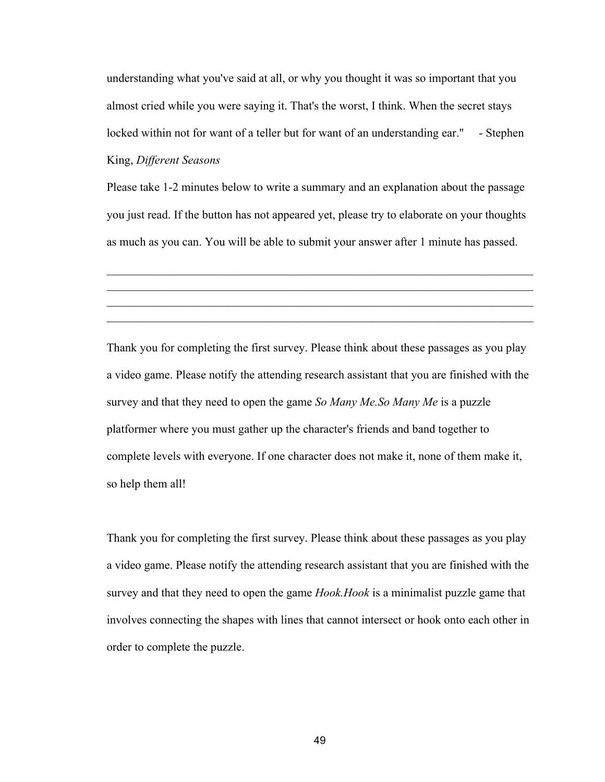understanding what you've said at all, or why you thought it was so important that you almost cried while you were saying it. That's the worst, I think. When the secret stays locked within not for want of a teller but for want of an understanding ear." - Stephen King, *Different Seasons*

Please take 1-2 minutes below to write a summary and an explanation about the passage you just read. If the button has not appeared yet, please try to elaborate on your thoughts as much as you can. You will be able to submit your answer after 1 minute has passed.

 $\mathcal{L}_\text{max}$  , and the contribution of the contribution of the contribution of the contribution of the contribution of the contribution of the contribution of the contribution of the contribution of the contribution of t  $\mathcal{L}_\text{max} = \mathcal{L}_\text{max} = \mathcal{L}_\text{max} = \mathcal{L}_\text{max} = \mathcal{L}_\text{max} = \mathcal{L}_\text{max} = \mathcal{L}_\text{max} = \mathcal{L}_\text{max} = \mathcal{L}_\text{max} = \mathcal{L}_\text{max} = \mathcal{L}_\text{max} = \mathcal{L}_\text{max} = \mathcal{L}_\text{max} = \mathcal{L}_\text{max} = \mathcal{L}_\text{max} = \mathcal{L}_\text{max} = \mathcal{L}_\text{max} = \mathcal{L}_\text{max} = \mathcal{$  $\mathcal{L}_\text{max}$  , and the contribution of the contribution of the contribution of the contribution of the contribution of the contribution of the contribution of the contribution of the contribution of the contribution of t  $\mathcal{L}_\text{max}$  , and the contribution of the contribution of the contribution of the contribution of the contribution of the contribution of the contribution of the contribution of the contribution of the contribution of t

Thank you for completing the first survey. Please think about these passages as you play a video game. Please notify the attending research assistant that you are finished with the survey and that they need to open the game *So Many Me.So Many Me* is a puzzle platformer where you must gather up the character's friends and band together to complete levels with everyone. If one character does not make it, none of them make it, so help them all!

Thank you for completing the first survey. Please think about these passages as you play a video game. Please notify the attending research assistant that you are finished with the survey and that they need to open the game *Hook.Hook* is a minimalist puzzle game that involves connecting the shapes with lines that cannot intersect or hook onto each other in order to complete the puzzle.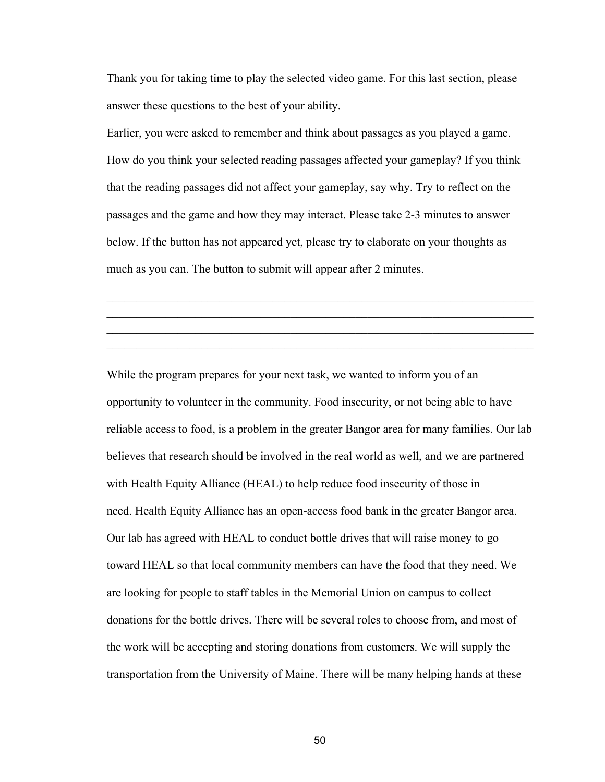Thank you for taking time to play the selected video game. For this last section, please answer these questions to the best of your ability.

Earlier, you were asked to remember and think about passages as you played a game. How do you think your selected reading passages affected your gameplay? If you think that the reading passages did not affect your gameplay, say why. Try to reflect on the passages and the game and how they may interact. Please take 2-3 minutes to answer below. If the button has not appeared yet, please try to elaborate on your thoughts as much as you can. The button to submit will appear after 2 minutes.

 $\mathcal{L}_\text{max}$  , and the contribution of the contribution of the contribution of the contribution of the contribution of the contribution of the contribution of the contribution of the contribution of the contribution of t  $\mathcal{L}_\text{max}$  , and the contribution of the contribution of the contribution of the contribution of the contribution of the contribution of the contribution of the contribution of the contribution of the contribution of t  $\mathcal{L}_\text{max}$  , and the contribution of the contribution of the contribution of the contribution of the contribution of the contribution of the contribution of the contribution of the contribution of the contribution of t  $\mathcal{L}_\text{max} = \mathcal{L}_\text{max} = \mathcal{L}_\text{max} = \mathcal{L}_\text{max} = \mathcal{L}_\text{max} = \mathcal{L}_\text{max} = \mathcal{L}_\text{max} = \mathcal{L}_\text{max} = \mathcal{L}_\text{max} = \mathcal{L}_\text{max} = \mathcal{L}_\text{max} = \mathcal{L}_\text{max} = \mathcal{L}_\text{max} = \mathcal{L}_\text{max} = \mathcal{L}_\text{max} = \mathcal{L}_\text{max} = \mathcal{L}_\text{max} = \mathcal{L}_\text{max} = \mathcal{$ 

While the program prepares for your next task, we wanted to inform you of an opportunity to volunteer in the community. Food insecurity, or not being able to have reliable access to food, is a problem in the greater Bangor area for many families. Our lab believes that research should be involved in the real world as well, and we are partnered with Health Equity Alliance (HEAL) to help reduce food insecurity of those in need. Health Equity Alliance has an open-access food bank in the greater Bangor area. Our lab has agreed with HEAL to conduct bottle drives that will raise money to go toward HEAL so that local community members can have the food that they need. We are looking for people to staff tables in the Memorial Union on campus to collect donations for the bottle drives. There will be several roles to choose from, and most of the work will be accepting and storing donations from customers. We will supply the transportation from the University of Maine. There will be many helping hands at these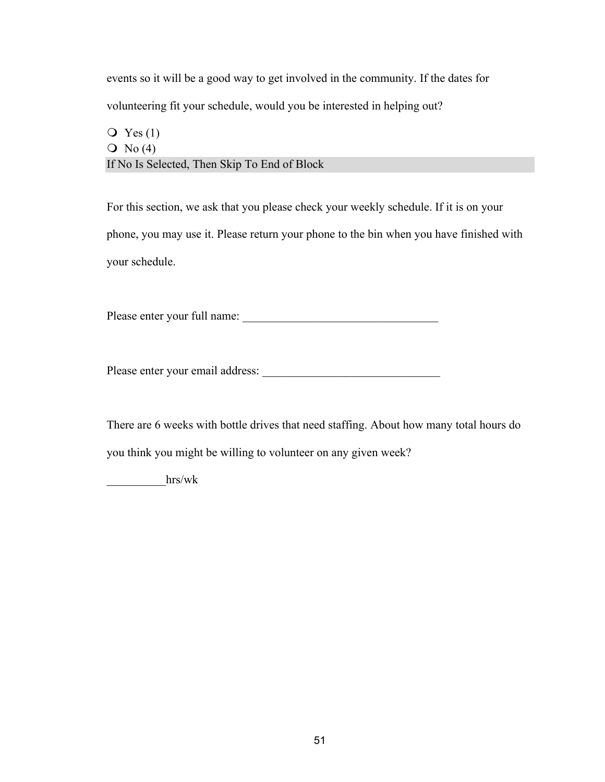events so it will be a good way to get involved in the community. If the dates for volunteering fit your schedule, would you be interested in helping out?

# $\overline{Q}$  Yes (1)  $\overline{O}$  No (4) If No Is Selected, Then Skip To End of Block

For this section, we ask that you please check your weekly schedule. If it is on your phone, you may use it. Please return your phone to the bin when you have finished with your schedule.

Please enter your full name: \_\_\_\_\_\_\_\_\_\_\_\_\_\_\_\_\_\_\_\_\_\_\_\_\_\_\_\_\_\_\_\_\_

Please enter your email address:

There are 6 weeks with bottle drives that need staffing. About how many total hours do you think you might be willing to volunteer on any given week?

\_\_\_\_\_\_\_\_\_\_hrs/wk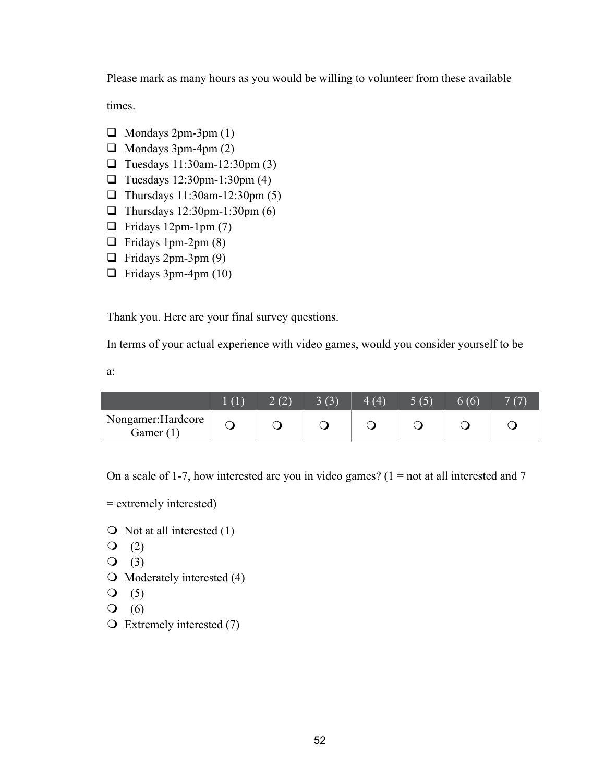Please mark as many hours as you would be willing to volunteer from these available

times.

- $\Box$  Mondays 2pm-3pm (1)
- $\Box$  Mondays 3pm-4pm (2)
- $\Box$  Tuesdays 11:30am-12:30pm (3)
- $\Box$  Tuesdays 12:30pm-1:30pm (4)
- Thursdays  $11:30$ am-12:30pm (5)
- Thursdays  $12:30$ pm-1:30pm (6)
- $\Box$  Fridays 12pm-1pm (7)
- $\Box$  Fridays 1pm-2pm (8)
- $\Box$  Fridays 2pm-3pm (9)
- $\Box$  Fridays 3pm-4pm (10)

Thank you. Here are your final survey questions.

In terms of your actual experience with video games, would you consider yourself to be

a:

|                                | 2(2) | 3(3)<br>- | $\overline{(4)}$ | 5(5) | 6(6) |  |
|--------------------------------|------|-----------|------------------|------|------|--|
| Nongamer:Hardcore<br>Gamer (1) |      |           |                  |      |      |  |

On a scale of 1-7, how interested are you in video games?  $(1 = not at all interested and 7)$ 

- = extremely interested)
- $\bigcirc$  Not at all interested (1)
- $Q(2)$
- $Q(3)$
- $\bigcirc$  Moderately interested (4)
- $Q(5)$
- $\mathsf{O}$  (6)
- $\overline{O}$  Extremely interested (7)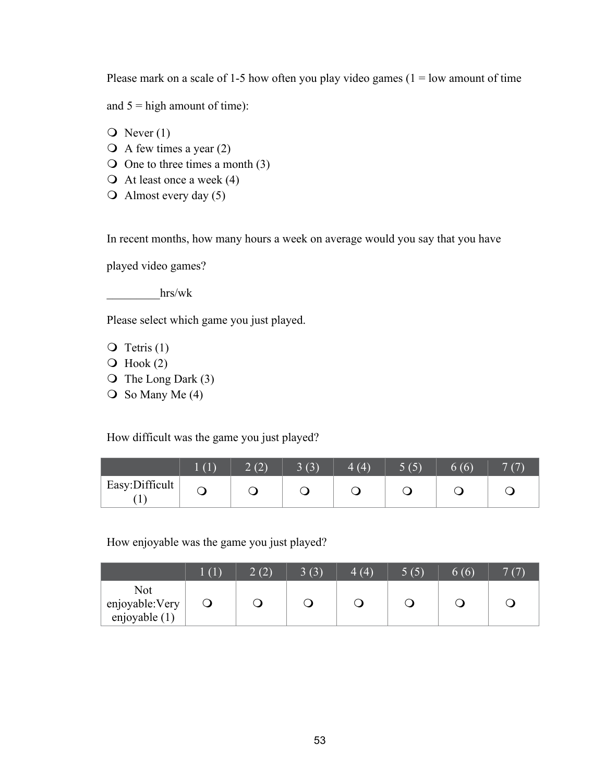Please mark on a scale of 1-5 how often you play video games  $(1 = low$  amount of time

and  $5 =$  high amount of time):

- $\overline{O}$  Never (1)
- $\overline{Q}$  A few times a year (2)
- $\bigcirc$  One to three times a month (3)
- $\bigcirc$  At least once a week (4)
- $\bigcirc$  Almost every day (5)

In recent months, how many hours a week on average would you say that you have

played video games?

\_\_\_\_\_\_\_\_\_hrs/wk

Please select which game you just played.

- $\overline{Q}$  Tetris (1)
- $\overline{O}$  Hook (2)
- $\overline{O}$  The Long Dark (3)
- $\bigcirc$  So Many Me (4)

How difficult was the game you just played?

|                                | $\perp$ (1) | 2(2) | 3(3) | 4(4) | 5(5)<br>$\overline{\phantom{0}}$ | 6(6) |  |
|--------------------------------|-------------|------|------|------|----------------------------------|------|--|
| Easy:Difficult<br>$\mathbf{r}$ |             |      |      |      |                                  |      |  |

How enjoyable was the game you just played?

|                                         | $\lfloor$ (1) | (2) | 3(3) | 4(4) | (5) | 6(6) | 7(7) |
|-----------------------------------------|---------------|-----|------|------|-----|------|------|
| Not<br>enjoyable: Very<br>enjoyable (1) |               |     |      |      |     |      |      |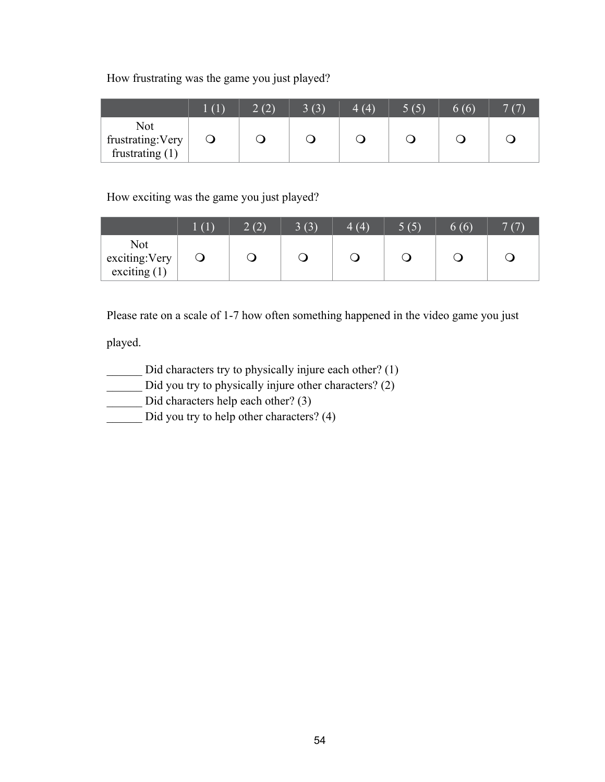How frustrating was the game you just played?

|                                               | (1) | 2(2) | 3(3) | 4(4) | $\overline{5(5)}$ | 6(6) |  |
|-----------------------------------------------|-----|------|------|------|-------------------|------|--|
| Not<br>frustrating: Very<br>frustrating $(1)$ |     |      |      |      |                   |      |  |

How exciting was the game you just played?

|                                         | (1) | 2(2) | 3(3)<br>A) | 4(4) | 5(5) | 6(6) | 7(7) |
|-----------------------------------------|-----|------|------------|------|------|------|------|
| Not<br>exciting: Very<br>exciting $(1)$ |     |      |            |      |      |      |      |

Please rate on a scale of 1-7 how often something happened in the video game you just

played.

- \_\_\_\_\_\_ Did characters try to physically injure each other? (1)
- \_\_\_\_\_\_ Did you try to physically injure other characters? (2)
- \_\_\_\_\_\_ Did characters help each other? (3)
- \_\_\_\_\_\_ Did you try to help other characters? (4)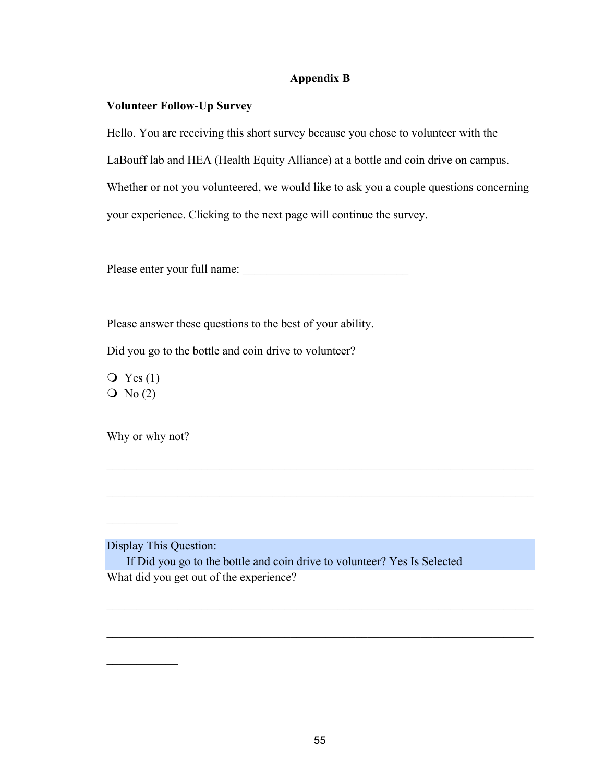# **Appendix B**

# **Volunteer Follow-Up Survey**

Hello. You are receiving this short survey because you chose to volunteer with the LaBouff lab and HEA (Health Equity Alliance) at a bottle and coin drive on campus. Whether or not you volunteered, we would like to ask you a couple questions concerning your experience. Clicking to the next page will continue the survey.

Please enter your full name: \_\_\_\_\_\_\_\_\_\_\_\_\_\_\_\_\_\_\_\_\_\_\_\_\_\_\_\_

Please answer these questions to the best of your ability.

Did you go to the bottle and coin drive to volunteer?

 $\overline{Q}$  Yes (1)  $\overline{O}$  No (2)

Why or why not?

Display This Question:

 $\mathcal{L}=\mathcal{L}$ 

 $\mathcal{L}_\text{max}$ 

If Did you go to the bottle and coin drive to volunteer? Yes Is Selected What did you get out of the experience?

 $\mathcal{L}_\text{max}$  , and the contribution of the contribution of the contribution of the contribution of the contribution of the contribution of the contribution of the contribution of the contribution of the contribution of t

 $\mathcal{L}_\text{max}$  , and the contribution of the contribution of the contribution of the contribution of the contribution of the contribution of the contribution of the contribution of the contribution of the contribution of t

 $\mathcal{L}_\text{max}$  , and the contribution of the contribution of the contribution of the contribution of the contribution of the contribution of the contribution of the contribution of the contribution of the contribution of t

 $\mathcal{L}_\text{max}$  , and the contribution of the contribution of the contribution of the contribution of the contribution of the contribution of the contribution of the contribution of the contribution of the contribution of t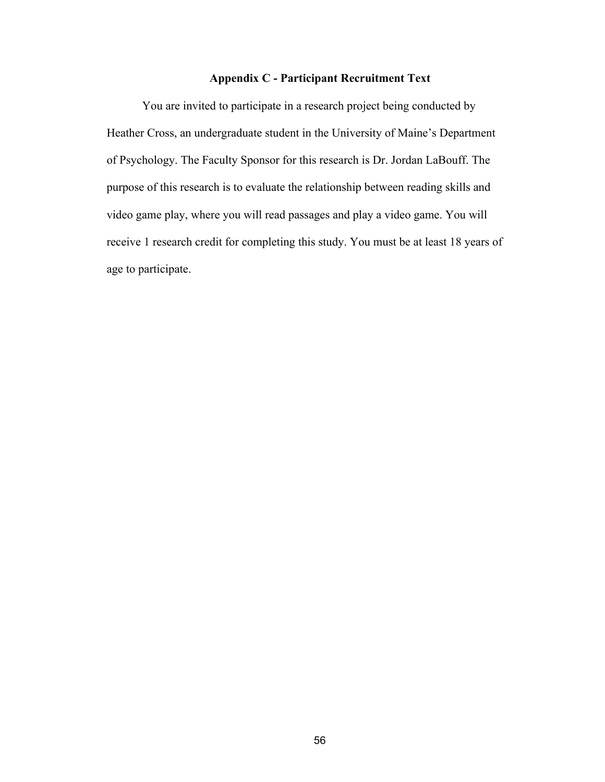# **Appendix C - Participant Recruitment Text**

You are invited to participate in a research project being conducted by Heather Cross, an undergraduate student in the University of Maine's Department of Psychology. The Faculty Sponsor for this research is Dr. Jordan LaBouff. The purpose of this research is to evaluate the relationship between reading skills and video game play, where you will read passages and play a video game. You will receive 1 research credit for completing this study. You must be at least 18 years of age to participate.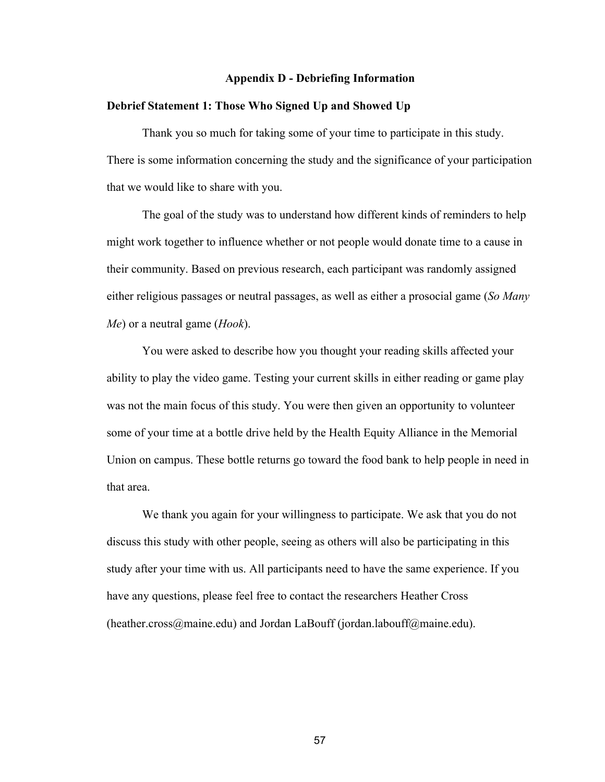#### **Appendix D - Debriefing Information**

### **Debrief Statement 1: Those Who Signed Up and Showed Up**

Thank you so much for taking some of your time to participate in this study. There is some information concerning the study and the significance of your participation that we would like to share with you.

The goal of the study was to understand how different kinds of reminders to help might work together to influence whether or not people would donate time to a cause in their community. Based on previous research, each participant was randomly assigned either religious passages or neutral passages, as well as either a prosocial game (*So Many Me*) or a neutral game (*Hook*).

You were asked to describe how you thought your reading skills affected your ability to play the video game. Testing your current skills in either reading or game play was not the main focus of this study. You were then given an opportunity to volunteer some of your time at a bottle drive held by the Health Equity Alliance in the Memorial Union on campus. These bottle returns go toward the food bank to help people in need in that area.

We thank you again for your willingness to participate. We ask that you do not discuss this study with other people, seeing as others will also be participating in this study after your time with us. All participants need to have the same experience. If you have any questions, please feel free to contact the researchers Heather Cross (heather.cross@maine.edu) and Jordan LaBouff (jordan.labouff@maine.edu).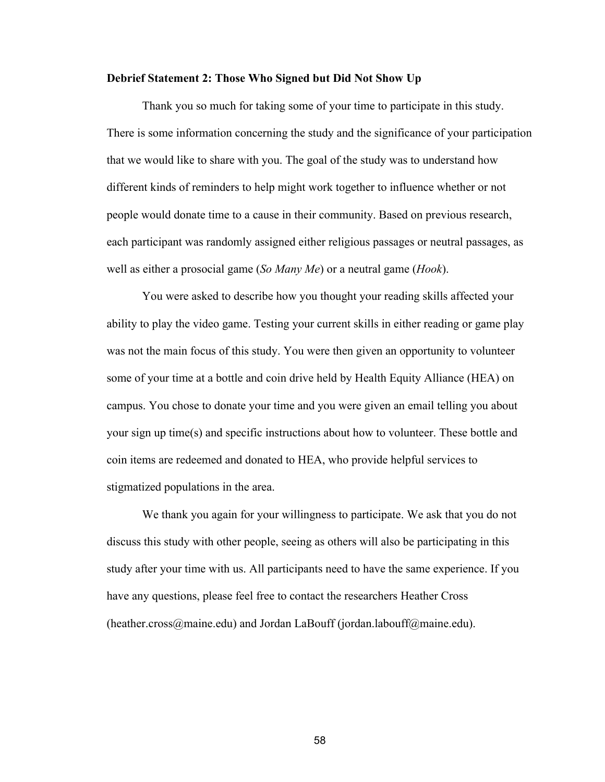### **Debrief Statement 2: Those Who Signed but Did Not Show Up**

Thank you so much for taking some of your time to participate in this study. There is some information concerning the study and the significance of your participation that we would like to share with you. The goal of the study was to understand how different kinds of reminders to help might work together to influence whether or not people would donate time to a cause in their community. Based on previous research, each participant was randomly assigned either religious passages or neutral passages, as well as either a prosocial game (*So Many Me*) or a neutral game (*Hook*).

You were asked to describe how you thought your reading skills affected your ability to play the video game. Testing your current skills in either reading or game play was not the main focus of this study. You were then given an opportunity to volunteer some of your time at a bottle and coin drive held by Health Equity Alliance (HEA) on campus. You chose to donate your time and you were given an email telling you about your sign up time(s) and specific instructions about how to volunteer. These bottle and coin items are redeemed and donated to HEA, who provide helpful services to stigmatized populations in the area.

We thank you again for your willingness to participate. We ask that you do not discuss this study with other people, seeing as others will also be participating in this study after your time with us. All participants need to have the same experience. If you have any questions, please feel free to contact the researchers Heather Cross (heather.cross@maine.edu) and Jordan LaBouff (jordan.labouff@maine.edu).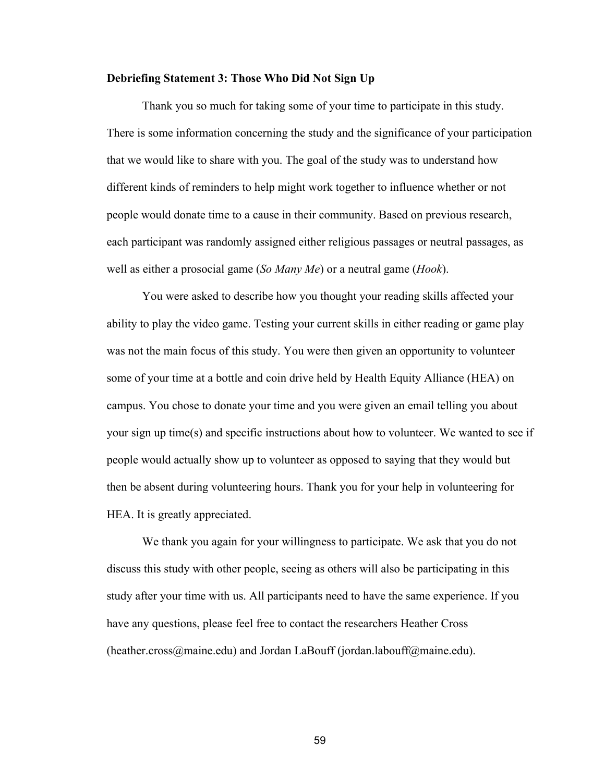### **Debriefing Statement 3: Those Who Did Not Sign Up**

Thank you so much for taking some of your time to participate in this study. There is some information concerning the study and the significance of your participation that we would like to share with you. The goal of the study was to understand how different kinds of reminders to help might work together to influence whether or not people would donate time to a cause in their community. Based on previous research, each participant was randomly assigned either religious passages or neutral passages, as well as either a prosocial game (*So Many Me*) or a neutral game (*Hook*).

You were asked to describe how you thought your reading skills affected your ability to play the video game. Testing your current skills in either reading or game play was not the main focus of this study. You were then given an opportunity to volunteer some of your time at a bottle and coin drive held by Health Equity Alliance (HEA) on campus. You chose to donate your time and you were given an email telling you about your sign up time(s) and specific instructions about how to volunteer. We wanted to see if people would actually show up to volunteer as opposed to saying that they would but then be absent during volunteering hours. Thank you for your help in volunteering for HEA. It is greatly appreciated.

We thank you again for your willingness to participate. We ask that you do not discuss this study with other people, seeing as others will also be participating in this study after your time with us. All participants need to have the same experience. If you have any questions, please feel free to contact the researchers Heather Cross (heather.cross@maine.edu) and Jordan LaBouff (jordan.labouff@maine.edu).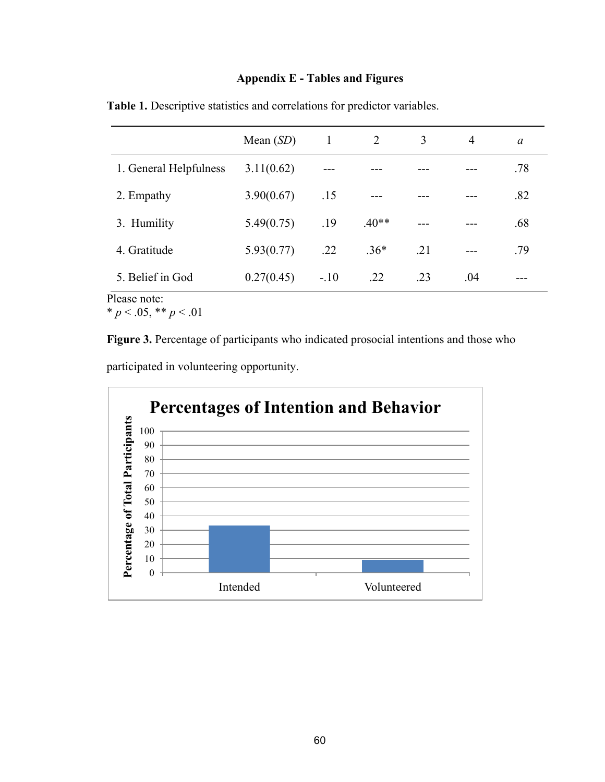# **Appendix E - Tables and Figures**

|                        | Mean $(SD)$ | $\mathbf{1}$ | 2       | 3     | $\overline{4}$ | $\alpha$ |
|------------------------|-------------|--------------|---------|-------|----------------|----------|
| 1. General Helpfulness | 3.11(0.62)  |              |         |       |                | .78      |
| 2. Empathy             | 3.90(0.67)  | .15          | $---$   |       | ---            | .82      |
| 3. Humility            | 5.49(0.75)  | .19          | $.40**$ | $---$ | ---            | .68      |
| 4. Gratitude           | 5.93(0.77)  | .22          | $.36*$  | .21   | $---$          | .79      |
| 5. Belief in God<br>m1 | 0.27(0.45)  | $-.10$       | .22     | .23   | .04            | ---      |

**Table 1.** Descriptive statistics and correlations for predictor variables.

Please note:

 $* p < .05, ** p < .01$ 

**Figure 3.** Percentage of participants who indicated prosocial intentions and those who participated in volunteering opportunity.

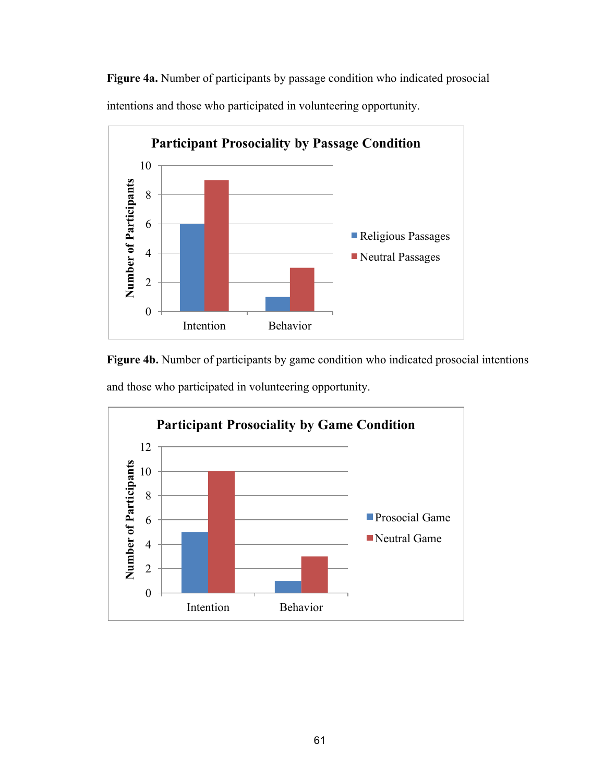**Figure 4a.** Number of participants by passage condition who indicated prosocial intentions and those who participated in volunteering opportunity.



**Figure 4b.** Number of participants by game condition who indicated prosocial intentions and those who participated in volunteering opportunity.

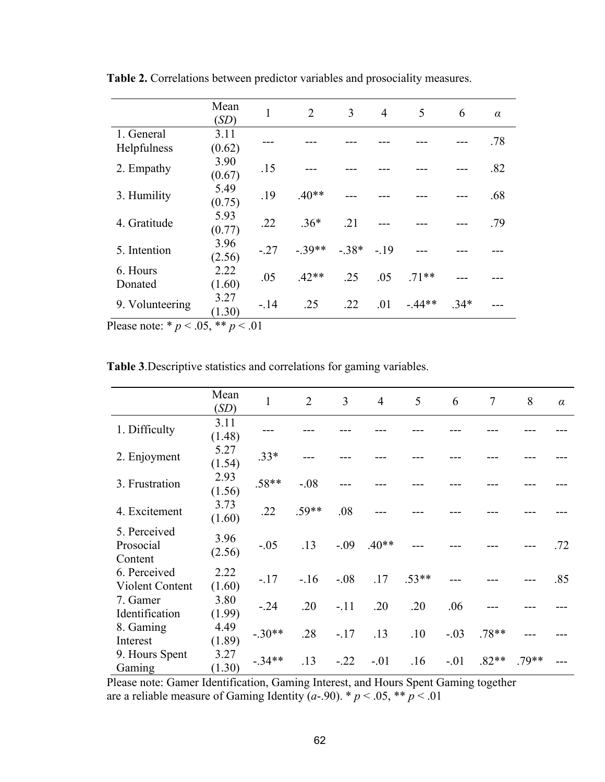|                     | Mean<br>(SD)   | $\mathbf{1}$ | 2       | 3          | 4   | 5       | 6      | $\alpha$ |
|---------------------|----------------|--------------|---------|------------|-----|---------|--------|----------|
| 1. General          | 3.11           |              |         |            |     |         |        | .78      |
| Helpfulness         | (0.62)         |              |         |            |     |         |        |          |
| 2. Empathy          | 3.90<br>(0.67) | .15          |         |            |     |         |        | .82      |
| 3. Humility         | 5.49<br>(0.75) | .19          | $.40**$ |            |     |         |        | .68      |
| 4. Gratitude        | 5.93<br>(0.77) | .22          | $.36*$  | .21        |     |         |        | .79      |
| 5. Intention        | 3.96<br>(2.56) | $-.27$       | $-39**$ | $-38* -19$ |     |         |        |          |
| 6. Hours<br>Donated | 2.22<br>(1.60) | .05          | $.42**$ | .25        | .05 | $71**$  |        |          |
| 9. Volunteering     | 3.27<br>(1.30) | $-14$        | .25     | .22        | .01 | $-44**$ | $.34*$ |          |

**Table 2.** Correlations between predictor variables and prosociality measures.

Please note: \*  $p < .05$ , \*\*  $p < .01$ 

**Table 3**.Descriptive statistics and correlations for gaming variables.

|                                        | Mean<br>(SD)   | 1        | $\overline{2}$ | $\overline{3}$ | $\overline{4}$ | 5       | 6      | $\overline{7}$ | 8       | $\alpha$ |
|----------------------------------------|----------------|----------|----------------|----------------|----------------|---------|--------|----------------|---------|----------|
| 1. Difficulty                          | 3.11<br>(1.48) |          |                |                |                |         |        |                |         |          |
| 2. Enjoyment                           | 5.27<br>(1.54) | $.33*$   |                |                |                |         |        |                |         |          |
| 3. Frustration                         | 2.93<br>(1.56) | $.58**$  | $-.08$         |                |                |         |        |                |         |          |
| 4. Excitement                          | 3.73<br>(1.60) | .22      | $.59**$        | .08            |                |         |        |                |         |          |
| 5. Perceived<br>Prosocial<br>Content   | 3.96<br>(2.56) | $-.05$   | .13            | $-.09$         | $.40**$        |         |        |                |         | .72      |
| 6. Perceived<br><b>Violent Content</b> | 2.22<br>(1.60) | $-17$    | $-16$          | $-.08$         | .17            | $.53**$ |        |                |         | .85      |
| 7. Gamer<br>Identification             | 3.80<br>(1.99) | $-.24$   | .20            | $-.11$         | .20            | .20     | .06    |                |         |          |
| 8. Gaming<br>Interest                  | 4.49<br>(1.89) | $-.30**$ | .28            | $-.17$         | .13            | .10     | $-.03$ | $.78**$        |         |          |
| 9. Hours Spent<br>Gaming               | 3.27<br>(1.30) | $-.34**$ | .13            | $-.22$         | $-.01$         | .16     | $-.01$ | $.82**$        | $.79**$ |          |

Please note: Gamer Identification, Gaming Interest, and Hours Spent Gaming together are a reliable measure of Gaming Identity  $(a-90)$ . \*  $p < .05$ , \*\*  $p < .01$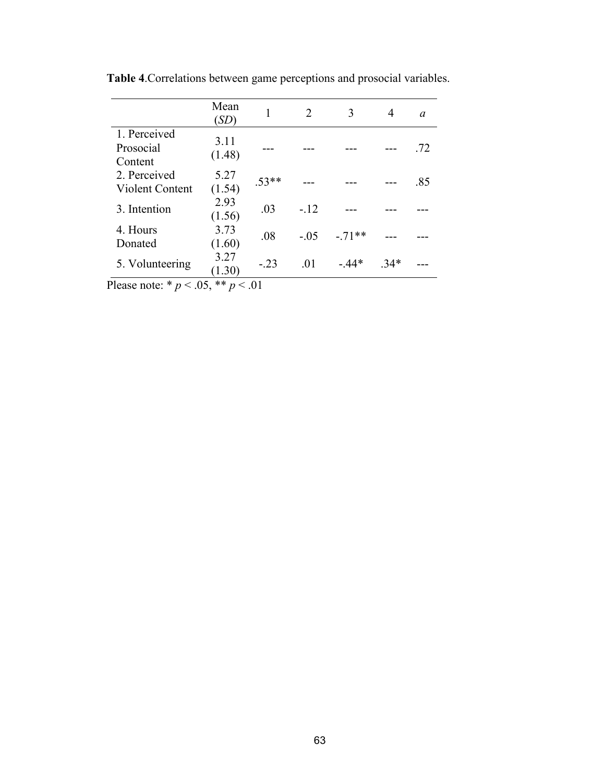|                                      | Mean<br>(SD)   |         | $\mathcal{D}_{\mathcal{L}}$ | 3       | 4     | a   |
|--------------------------------------|----------------|---------|-----------------------------|---------|-------|-----|
| 1. Perceived<br>Prosocial<br>Content | 3.11<br>(1.48) |         |                             |         |       | .72 |
| 2. Perceived<br>Violent Content      | 5.27<br>(1.54) | $.53**$ |                             |         |       | .85 |
| 3. Intention                         | 2.93<br>(1.56) | .03     | $-.12$                      |         |       |     |
| 4. Hours<br>Donated                  | 3.73<br>(1.60) | .08     | $-0.5$                      | $-71**$ |       |     |
| 5. Volunteering                      | 3.27<br>(1.30) | $-.23$  | .01                         | $-44*$  | $34*$ |     |

**Table 4**.Correlations between game perceptions and prosocial variables.

Please note:  $* p < .05, ** p < .01$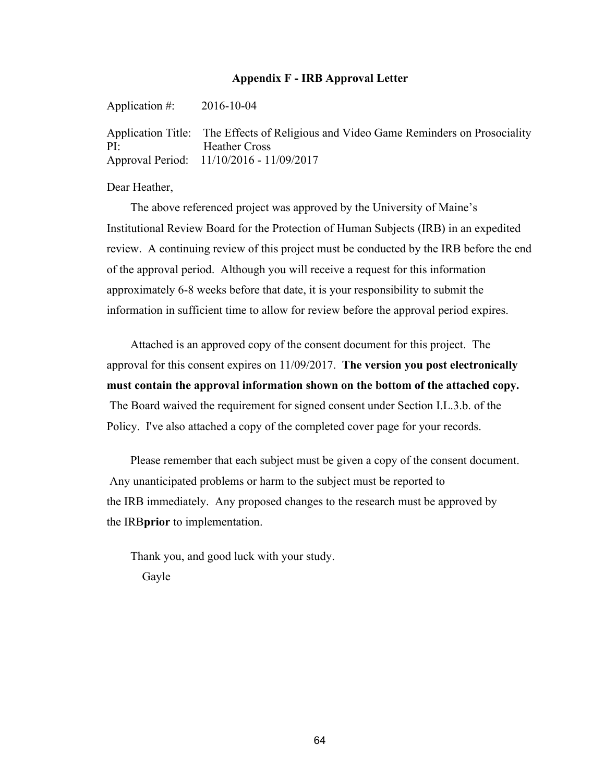# **Appendix F - IRB Approval Letter**

Application #: 2016-10-04 Application Title: The Effects of Religious and Video Game Reminders on Prosociality PI: Heather Cross Approval Period: 11/10/2016 - 11/09/2017

Dear Heather,

 The above referenced project was approved by the University of Maine's Institutional Review Board for the Protection of Human Subjects (IRB) in an expedited review. A continuing review of this project must be conducted by the IRB before the end of the approval period. Although you will receive a request for this information approximately 6-8 weeks before that date, it is your responsibility to submit the information in sufficient time to allow for review before the approval period expires.

 Attached is an approved copy of the consent document for this project. The approval for this consent expires on 11/09/2017. **The version you post electronically must contain the approval information shown on the bottom of the attached copy.**  The Board waived the requirement for signed consent under Section I.L.3.b. of the Policy. I've also attached a copy of the completed cover page for your records.

 Please remember that each subject must be given a copy of the consent document. Any unanticipated problems or harm to the subject must be reported to the IRB immediately. Any proposed changes to the research must be approved by the IRB**prior** to implementation.

 Thank you, and good luck with your study. Gayle